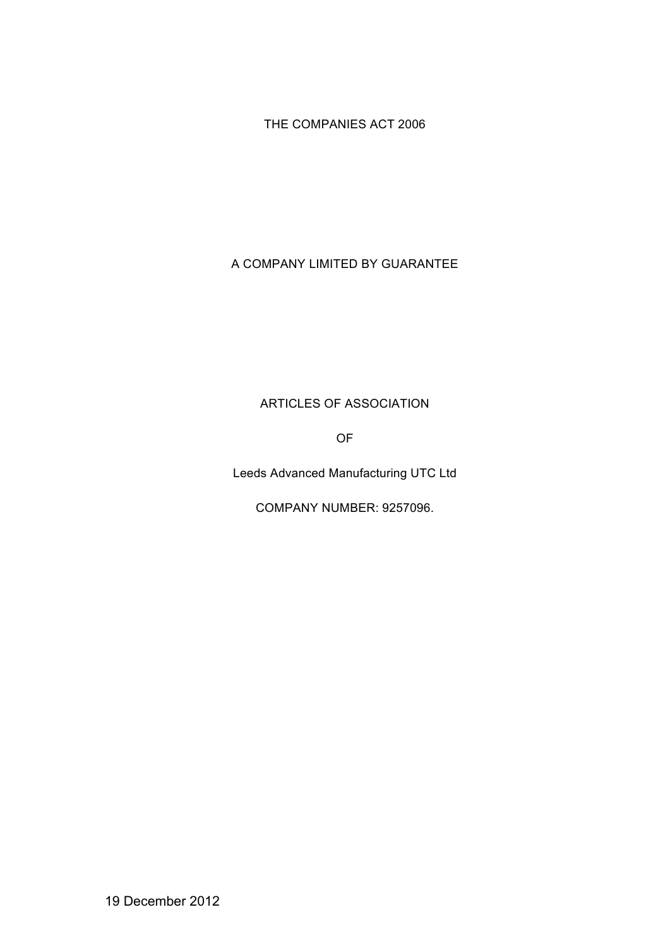THE COMPANIES ACT 2006

# A COMPANY LIMITED BY GUARANTEE

## ARTICLES OF ASSOCIATION

OF

Leeds Advanced Manufacturing UTC Ltd

COMPANY NUMBER: 9257096.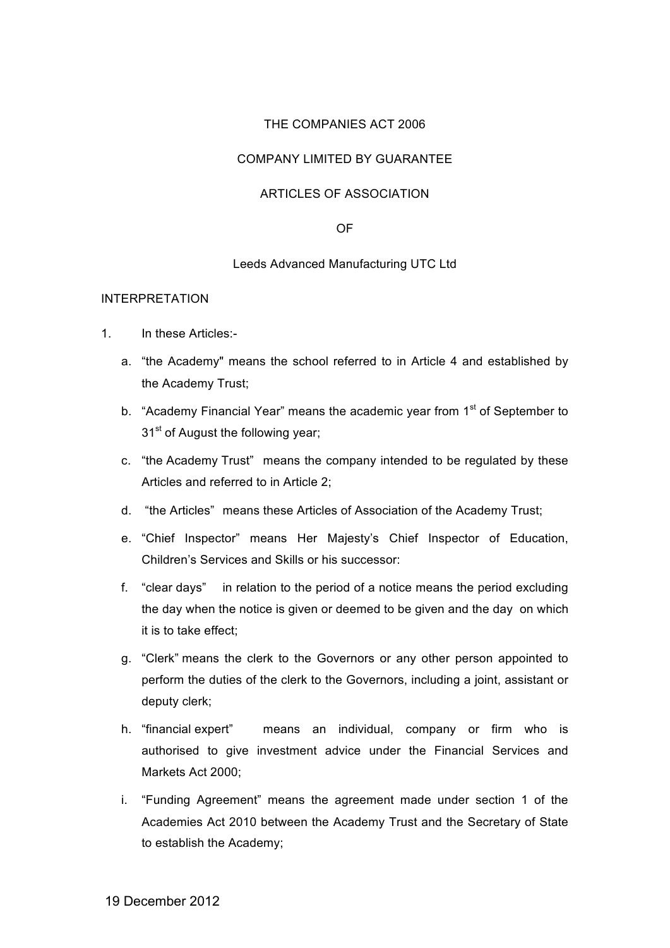## THE COMPANIES ACT 2006

## COMPANY LIMITED BY GUARANTEE

## ARTICLES OF ASSOCIATION

#### OF

#### Leeds Advanced Manufacturing UTC Ltd

#### INTERPRETATION

- 1. In these Articles:
	- a. "the Academy" means the school referred to in Article 4 and established by the Academy Trust;
	- b. "Academy Financial Year" means the academic year from  $1<sup>st</sup>$  of September to 31<sup>st</sup> of August the following year;
	- c. "the Academy Trust" means the company intended to be regulated by these Articles and referred to in Article 2;
	- d. "the Articles" means these Articles of Association of the Academy Trust;
	- e. "Chief Inspector" means Her Majesty's Chief Inspector of Education, Children's Services and Skills or his successor:
	- f. "clear days" in relation to the period of a notice means the period excluding the day when the notice is given or deemed to be given and the day on which it is to take effect;
	- g. "Clerk" means the clerk to the Governors or any other person appointed to perform the duties of the clerk to the Governors, including a joint, assistant or deputy clerk;
	- h. "financial expert" means an individual, company or firm who is authorised to give investment advice under the Financial Services and Markets Act 2000;
	- i. "Funding Agreement" means the agreement made under section 1 of the Academies Act 2010 between the Academy Trust and the Secretary of State to establish the Academy;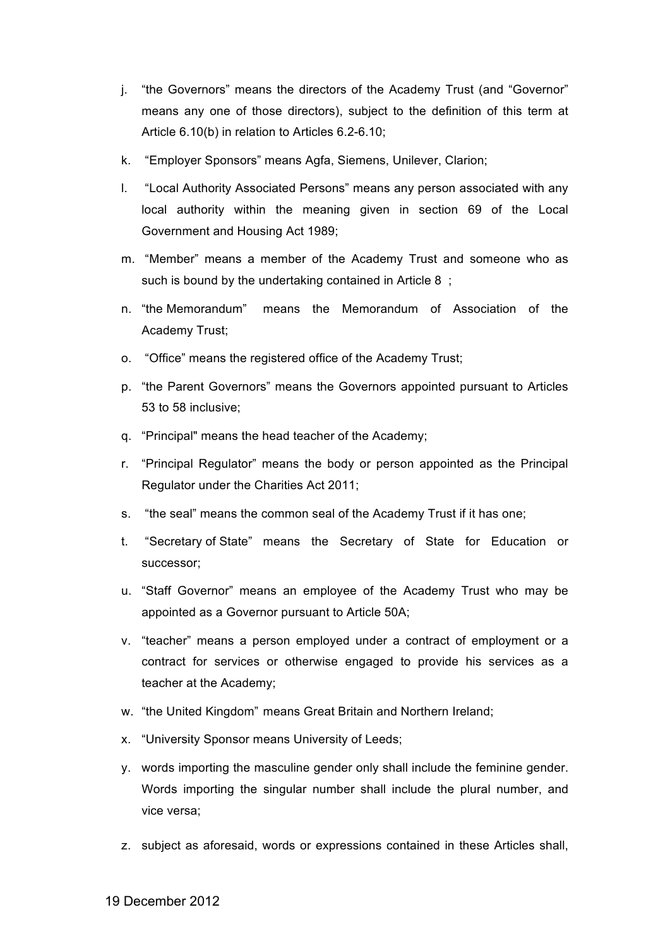- j. "the Governors" means the directors of the Academy Trust (and "Governor" means any one of those directors), subject to the definition of this term at Article 6.10(b) in relation to Articles 6.2-6.10;
- k. "Employer Sponsors" means Agfa, Siemens, Unilever, Clarion;
- l. "Local Authority Associated Persons" means any person associated with any local authority within the meaning given in section 69 of the Local Government and Housing Act 1989;
- m. "Member" means a member of the Academy Trust and someone who as such is bound by the undertaking contained in Article 8 ;
- n. "the Memorandum" means the Memorandum of Association of the Academy Trust;
- o. "Office" means the registered office of the Academy Trust;
- p. "the Parent Governors" means the Governors appointed pursuant to Articles 53 to 58 inclusive;
- q. "Principal" means the head teacher of the Academy;
- r. "Principal Regulator" means the body or person appointed as the Principal Regulator under the Charities Act 2011;
- s. "the seal" means the common seal of the Academy Trust if it has one;
- t. "Secretary of State" means the Secretary of State for Education or successor;
- u. "Staff Governor" means an employee of the Academy Trust who may be appointed as a Governor pursuant to Article 50A;
- v. "teacher" means a person employed under a contract of employment or a contract for services or otherwise engaged to provide his services as a teacher at the Academy;
- w. "the United Kingdom" means Great Britain and Northern Ireland;
- x. "University Sponsor means University of Leeds;
- y. words importing the masculine gender only shall include the feminine gender. Words importing the singular number shall include the plural number, and vice versa;
- z. subject as aforesaid, words or expressions contained in these Articles shall,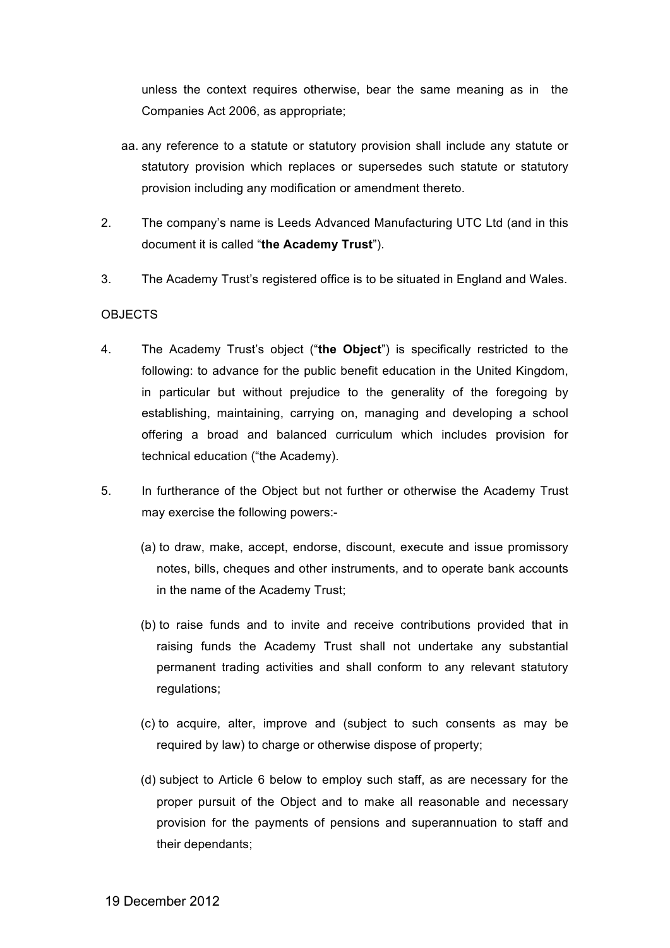unless the context requires otherwise, bear the same meaning as in the Companies Act 2006, as appropriate;

- aa. any reference to a statute or statutory provision shall include any statute or statutory provision which replaces or supersedes such statute or statutory provision including any modification or amendment thereto.
- 2. The company's name is Leeds Advanced Manufacturing UTC Ltd (and in this document it is called "**the Academy Trust**").
- 3. The Academy Trust's registered office is to be situated in England and Wales.

## OBJECTS

- 4. The Academy Trust's object ("**the Object**") is specifically restricted to the following: to advance for the public benefit education in the United Kingdom, in particular but without prejudice to the generality of the foregoing by establishing, maintaining, carrying on, managing and developing a school offering a broad and balanced curriculum which includes provision for technical education ("the Academy).
- 5. In furtherance of the Object but not further or otherwise the Academy Trust may exercise the following powers:-
	- (a) to draw, make, accept, endorse, discount, execute and issue promissory notes, bills, cheques and other instruments, and to operate bank accounts in the name of the Academy Trust;
	- (b) to raise funds and to invite and receive contributions provided that in raising funds the Academy Trust shall not undertake any substantial permanent trading activities and shall conform to any relevant statutory regulations;
	- (c) to acquire, alter, improve and (subject to such consents as may be required by law) to charge or otherwise dispose of property;
	- (d) subject to Article 6 below to employ such staff, as are necessary for the proper pursuit of the Object and to make all reasonable and necessary provision for the payments of pensions and superannuation to staff and their dependants;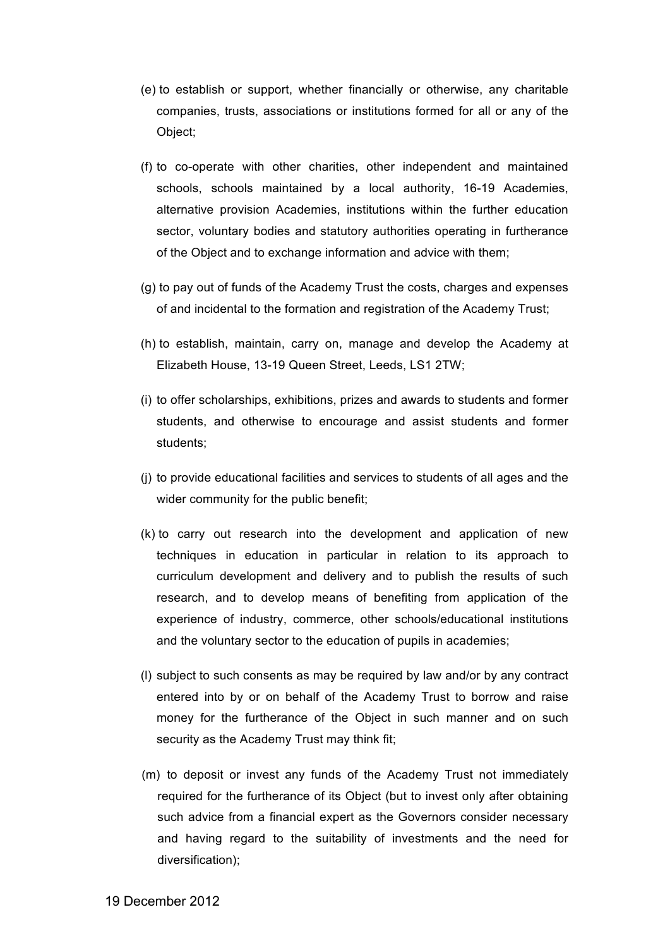- (e) to establish or support, whether financially or otherwise, any charitable companies, trusts, associations or institutions formed for all or any of the Object;
- (f) to co-operate with other charities, other independent and maintained schools, schools maintained by a local authority, 16-19 Academies, alternative provision Academies, institutions within the further education sector, voluntary bodies and statutory authorities operating in furtherance of the Object and to exchange information and advice with them;
- (g) to pay out of funds of the Academy Trust the costs, charges and expenses of and incidental to the formation and registration of the Academy Trust;
- (h) to establish, maintain, carry on, manage and develop the Academy at Elizabeth House, 13-19 Queen Street, Leeds, LS1 2TW;
- (i) to offer scholarships, exhibitions, prizes and awards to students and former students, and otherwise to encourage and assist students and former students;
- (j) to provide educational facilities and services to students of all ages and the wider community for the public benefit;
- (k) to carry out research into the development and application of new techniques in education in particular in relation to its approach to curriculum development and delivery and to publish the results of such research, and to develop means of benefiting from application of the experience of industry, commerce, other schools/educational institutions and the voluntary sector to the education of pupils in academies;
- (l) subject to such consents as may be required by law and/or by any contract entered into by or on behalf of the Academy Trust to borrow and raise money for the furtherance of the Object in such manner and on such security as the Academy Trust may think fit;
- (m) to deposit or invest any funds of the Academy Trust not immediately required for the furtherance of its Object (but to invest only after obtaining such advice from a financial expert as the Governors consider necessary and having regard to the suitability of investments and the need for diversification);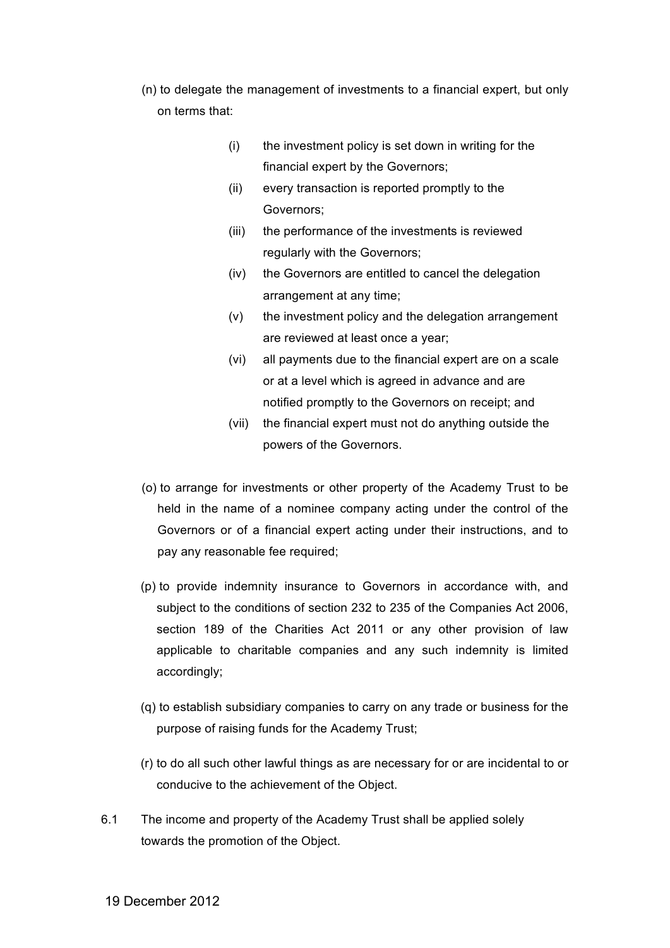- (n) to delegate the management of investments to a financial expert, but only on terms that:
	- (i) the investment policy is set down in writing for the financial expert by the Governors;
	- (ii) every transaction is reported promptly to the Governors;
	- (iii) the performance of the investments is reviewed regularly with the Governors;
	- (iv) the Governors are entitled to cancel the delegation arrangement at any time;
	- (v) the investment policy and the delegation arrangement are reviewed at least once a year;
	- (vi) all payments due to the financial expert are on a scale or at a level which is agreed in advance and are notified promptly to the Governors on receipt; and
	- (vii) the financial expert must not do anything outside the powers of the Governors.
- (o) to arrange for investments or other property of the Academy Trust to be held in the name of a nominee company acting under the control of the Governors or of a financial expert acting under their instructions, and to pay any reasonable fee required;
- (p) to provide indemnity insurance to Governors in accordance with, and subject to the conditions of section 232 to 235 of the Companies Act 2006, section 189 of the Charities Act 2011 or any other provision of law applicable to charitable companies and any such indemnity is limited accordingly;
- (q) to establish subsidiary companies to carry on any trade or business for the purpose of raising funds for the Academy Trust;
- (r) to do all such other lawful things as are necessary for or are incidental to or conducive to the achievement of the Object.
- 6.1 The income and property of the Academy Trust shall be applied solely towards the promotion of the Object.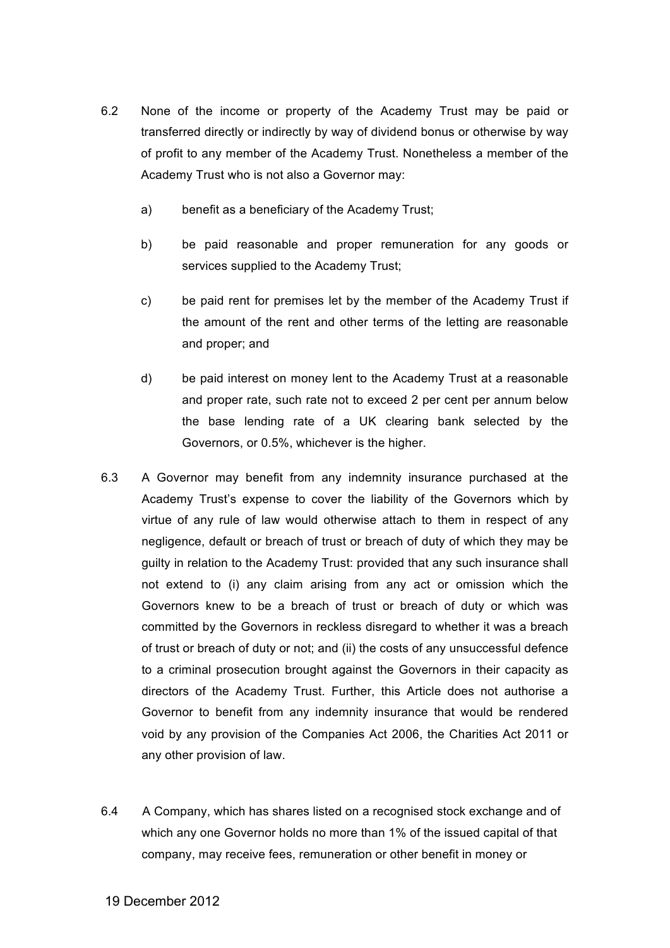- 6.2 None of the income or property of the Academy Trust may be paid or transferred directly or indirectly by way of dividend bonus or otherwise by way of profit to any member of the Academy Trust. Nonetheless a member of the Academy Trust who is not also a Governor may:
	- a) benefit as a beneficiary of the Academy Trust;
	- b) be paid reasonable and proper remuneration for any goods or services supplied to the Academy Trust;
	- c) be paid rent for premises let by the member of the Academy Trust if the amount of the rent and other terms of the letting are reasonable and proper; and
	- d) be paid interest on money lent to the Academy Trust at a reasonable and proper rate, such rate not to exceed 2 per cent per annum below the base lending rate of a UK clearing bank selected by the Governors, or 0.5%, whichever is the higher.
- 6.3 A Governor may benefit from any indemnity insurance purchased at the Academy Trust's expense to cover the liability of the Governors which by virtue of any rule of law would otherwise attach to them in respect of any negligence, default or breach of trust or breach of duty of which they may be guilty in relation to the Academy Trust: provided that any such insurance shall not extend to (i) any claim arising from any act or omission which the Governors knew to be a breach of trust or breach of duty or which was committed by the Governors in reckless disregard to whether it was a breach of trust or breach of duty or not; and (ii) the costs of any unsuccessful defence to a criminal prosecution brought against the Governors in their capacity as directors of the Academy Trust. Further, this Article does not authorise a Governor to benefit from any indemnity insurance that would be rendered void by any provision of the Companies Act 2006, the Charities Act 2011 or any other provision of law.
- 6.4 A Company, which has shares listed on a recognised stock exchange and of which any one Governor holds no more than 1% of the issued capital of that company, may receive fees, remuneration or other benefit in money or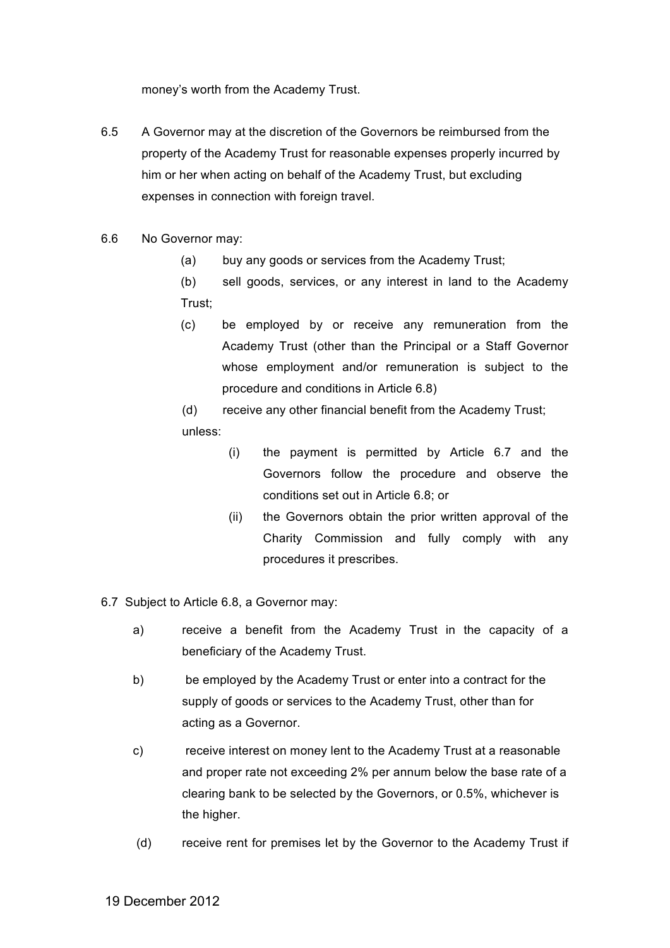money's worth from the Academy Trust.

- 6.5 A Governor may at the discretion of the Governors be reimbursed from the property of the Academy Trust for reasonable expenses properly incurred by him or her when acting on behalf of the Academy Trust, but excluding expenses in connection with foreign travel.
- 6.6 No Governor may:
	- (a) buy any goods or services from the Academy Trust;
	- (b) sell goods, services, or any interest in land to the Academy Trust;
	- (c) be employed by or receive any remuneration from the Academy Trust (other than the Principal or a Staff Governor whose employment and/or remuneration is subject to the procedure and conditions in Article 6.8)

(d) receive any other financial benefit from the Academy Trust; unless:

- (i) the payment is permitted by Article 6.7 and the Governors follow the procedure and observe the conditions set out in Article 6.8; or
- (ii) the Governors obtain the prior written approval of the Charity Commission and fully comply with any procedures it prescribes.
- 6.7 Subject to Article 6.8, a Governor may:
	- a) receive a benefit from the Academy Trust in the capacity of a beneficiary of the Academy Trust.
	- b) be employed by the Academy Trust or enter into a contract for the supply of goods or services to the Academy Trust, other than for acting as a Governor.
	- c) receive interest on money lent to the Academy Trust at a reasonable and proper rate not exceeding 2% per annum below the base rate of a clearing bank to be selected by the Governors, or 0.5%, whichever is the higher.
	- (d) receive rent for premises let by the Governor to the Academy Trust if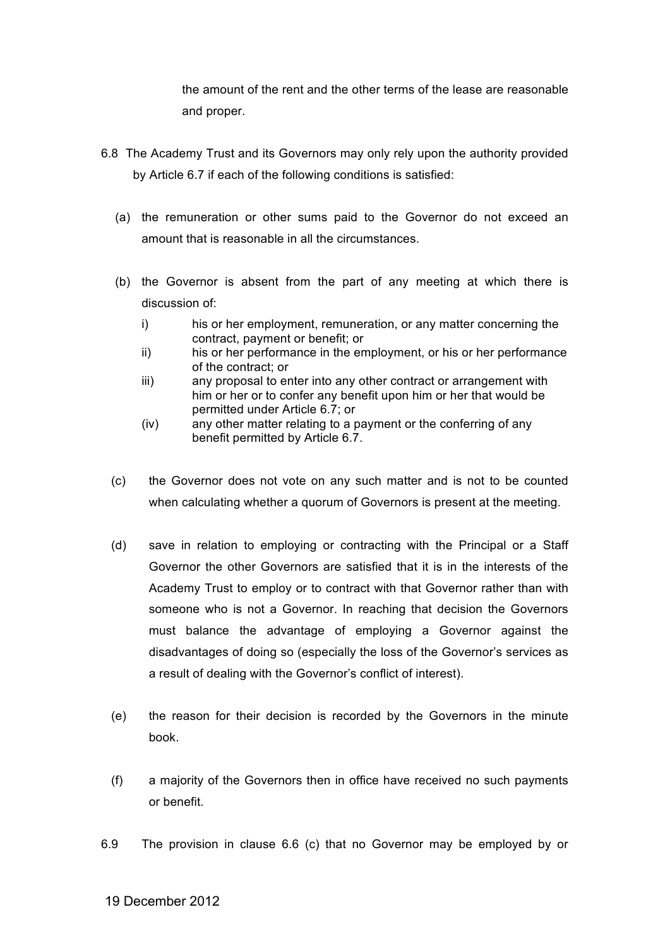the amount of the rent and the other terms of the lease are reasonable and proper.

- 6.8 The Academy Trust and its Governors may only rely upon the authority provided by Article 6.7 if each of the following conditions is satisfied:
	- (a) the remuneration or other sums paid to the Governor do not exceed an amount that is reasonable in all the circumstances.
	- (b) the Governor is absent from the part of any meeting at which there is discussion of:
		- i) his or her employment, remuneration, or any matter concerning the contract, payment or benefit; or
		- ii) his or her performance in the employment, or his or her performance of the contract; or
		- iii) any proposal to enter into any other contract or arrangement with him or her or to confer any benefit upon him or her that would be permitted under Article 6.7; or
		- (iv) any other matter relating to a payment or the conferring of any benefit permitted by Article 6.7.
	- (c) the Governor does not vote on any such matter and is not to be counted when calculating whether a quorum of Governors is present at the meeting.
	- (d) save in relation to employing or contracting with the Principal or a Staff Governor the other Governors are satisfied that it is in the interests of the Academy Trust to employ or to contract with that Governor rather than with someone who is not a Governor. In reaching that decision the Governors must balance the advantage of employing a Governor against the disadvantages of doing so (especially the loss of the Governor's services as a result of dealing with the Governor's conflict of interest).
	- (e) the reason for their decision is recorded by the Governors in the minute book.
	- (f) a majority of the Governors then in office have received no such payments or benefit.
- 6.9 The provision in clause 6.6 (c) that no Governor may be employed by or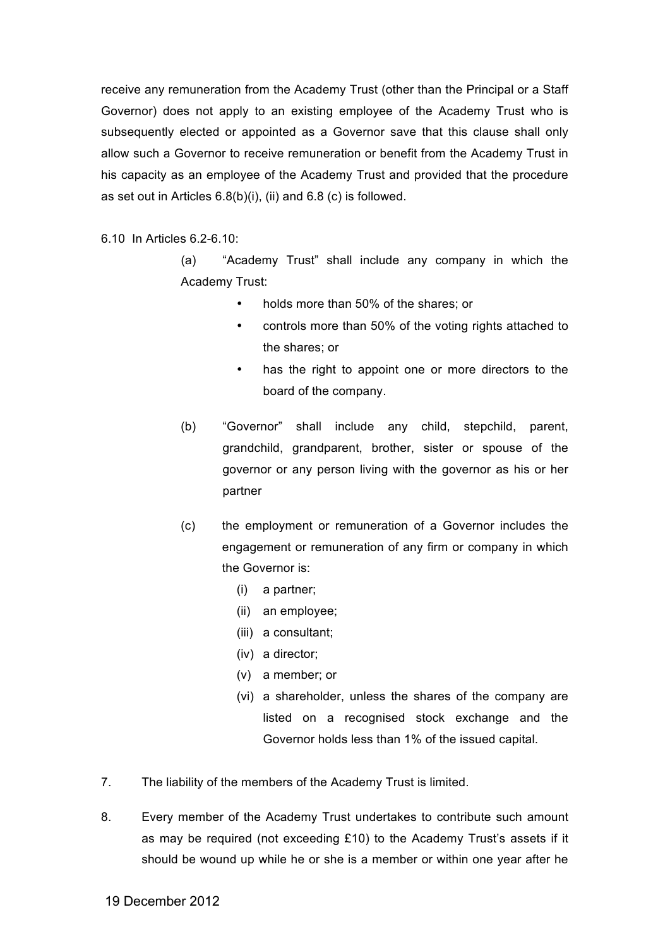receive any remuneration from the Academy Trust (other than the Principal or a Staff Governor) does not apply to an existing employee of the Academy Trust who is subsequently elected or appointed as a Governor save that this clause shall only allow such a Governor to receive remuneration or benefit from the Academy Trust in his capacity as an employee of the Academy Trust and provided that the procedure as set out in Articles 6.8(b)(i), (ii) and 6.8 (c) is followed.

6.10 In Articles 6.2-6.10:

(a) "Academy Trust" shall include any company in which the Academy Trust:

- holds more than 50% of the shares; or
- controls more than 50% of the voting rights attached to the shares; or
- has the right to appoint one or more directors to the board of the company.
- (b) "Governor" shall include any child, stepchild, parent, grandchild, grandparent, brother, sister or spouse of the governor or any person living with the governor as his or her partner
- (c) the employment or remuneration of a Governor includes the engagement or remuneration of any firm or company in which the Governor is:
	- (i) a partner;
	- (ii) an employee;
	- (iii) a consultant;
	- (iv) a director;
	- (v) a member; or
	- (vi) a shareholder, unless the shares of the company are listed on a recognised stock exchange and the Governor holds less than 1% of the issued capital.
- 7. The liability of the members of the Academy Trust is limited.
- 8. Every member of the Academy Trust undertakes to contribute such amount as may be required (not exceeding £10) to the Academy Trust's assets if it should be wound up while he or she is a member or within one year after he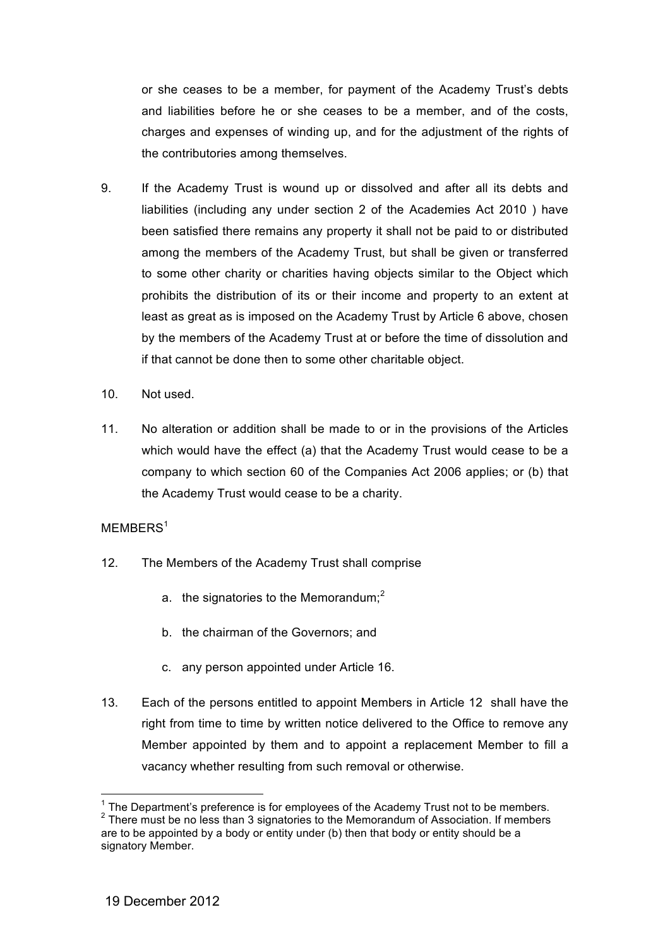or she ceases to be a member, for payment of the Academy Trust's debts and liabilities before he or she ceases to be a member, and of the costs, charges and expenses of winding up, and for the adjustment of the rights of the contributories among themselves.

- 9. If the Academy Trust is wound up or dissolved and after all its debts and liabilities (including any under section 2 of the Academies Act 2010 ) have been satisfied there remains any property it shall not be paid to or distributed among the members of the Academy Trust, but shall be given or transferred to some other charity or charities having objects similar to the Object which prohibits the distribution of its or their income and property to an extent at least as great as is imposed on the Academy Trust by Article 6 above, chosen by the members of the Academy Trust at or before the time of dissolution and if that cannot be done then to some other charitable object.
- 10. Not used.
- 11. No alteration or addition shall be made to or in the provisions of the Articles which would have the effect (a) that the Academy Trust would cease to be a company to which section 60 of the Companies Act 2006 applies; or (b) that the Academy Trust would cease to be a charity.

## MEMBERS<sup>1</sup>

- 12. The Members of the Academy Trust shall comprise
	- a. the signatories to the Memorandum; $<sup>2</sup>$ </sup>
	- b. the chairman of the Governors; and
	- c. any person appointed under Article 16.
- 13. Each of the persons entitled to appoint Members in Article 12 shall have the right from time to time by written notice delivered to the Office to remove any Member appointed by them and to appoint a replacement Member to fill a vacancy whether resulting from such removal or otherwise.

 $1$  The Department's preference is for employees of the Academy Trust not to be members. <sup>2</sup> There must be no less than 3 signatories to the Memorandum of Association. If members are to be appointed by a body or entity under (b) then that body or entity should be a

signatory Member.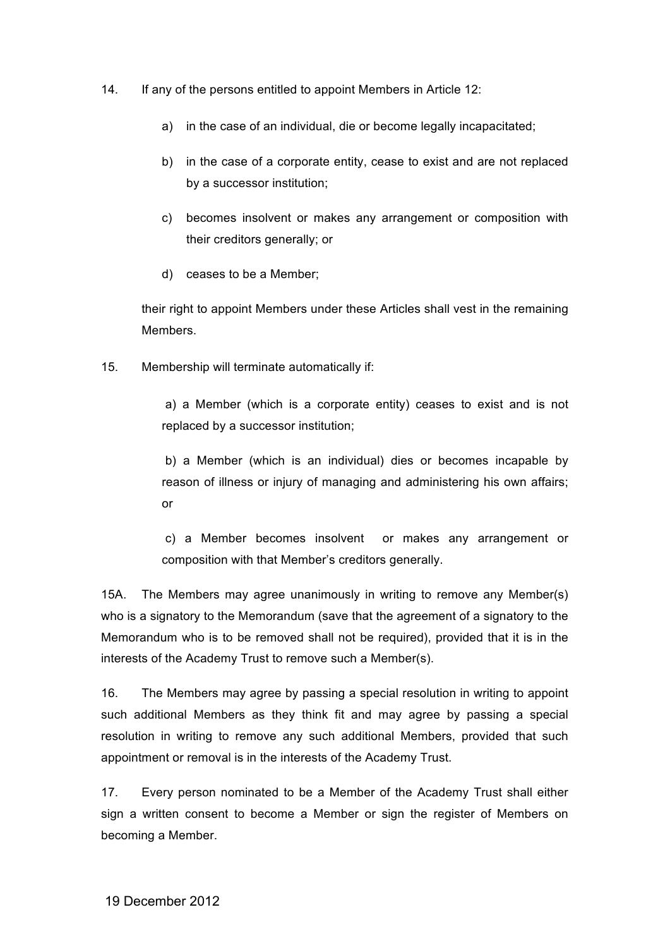- 14. If any of the persons entitled to appoint Members in Article 12:
	- a) in the case of an individual, die or become legally incapacitated;
	- b) in the case of a corporate entity, cease to exist and are not replaced by a successor institution;
	- c) becomes insolvent or makes any arrangement or composition with their creditors generally; or
	- d) ceases to be a Member;

their right to appoint Members under these Articles shall vest in the remaining **Members** 

15. Membership will terminate automatically if:

a) a Member (which is a corporate entity) ceases to exist and is not replaced by a successor institution;

b) a Member (which is an individual) dies or becomes incapable by reason of illness or injury of managing and administering his own affairs; or

c) a Member becomes insolvent or makes any arrangement or composition with that Member's creditors generally.

15A. The Members may agree unanimously in writing to remove any Member(s) who is a signatory to the Memorandum (save that the agreement of a signatory to the Memorandum who is to be removed shall not be required), provided that it is in the interests of the Academy Trust to remove such a Member(s).

16. The Members may agree by passing a special resolution in writing to appoint such additional Members as they think fit and may agree by passing a special resolution in writing to remove any such additional Members, provided that such appointment or removal is in the interests of the Academy Trust.

17. Every person nominated to be a Member of the Academy Trust shall either sign a written consent to become a Member or sign the register of Members on becoming a Member.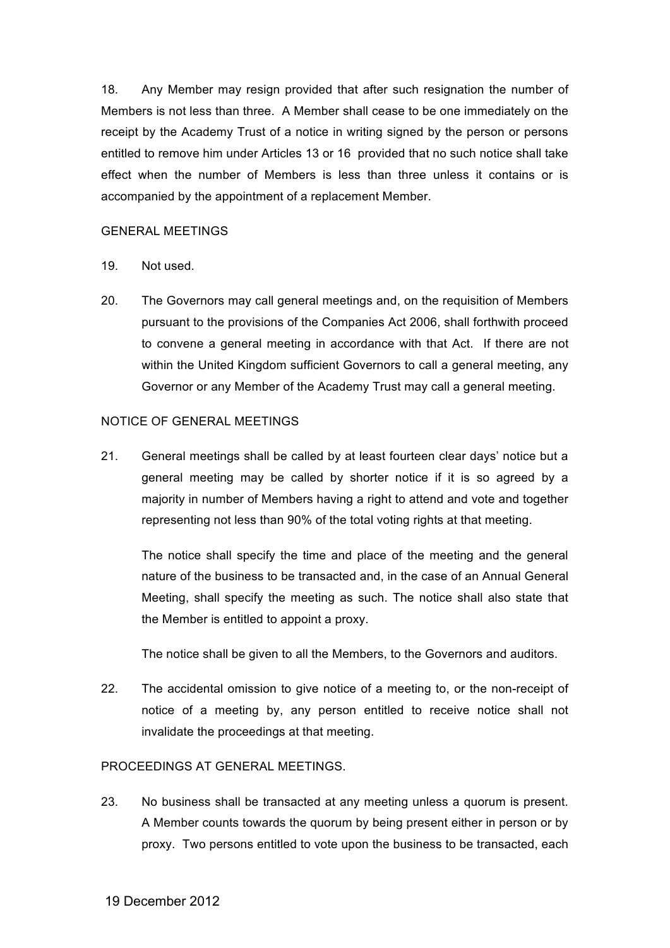18. Any Member may resign provided that after such resignation the number of Members is not less than three. A Member shall cease to be one immediately on the receipt by the Academy Trust of a notice in writing signed by the person or persons entitled to remove him under Articles 13 or 16 provided that no such notice shall take effect when the number of Members is less than three unless it contains or is accompanied by the appointment of a replacement Member.

## GENERAL MEETINGS

- 19. Not used.
- 20. The Governors may call general meetings and, on the requisition of Members pursuant to the provisions of the Companies Act 2006, shall forthwith proceed to convene a general meeting in accordance with that Act. If there are not within the United Kingdom sufficient Governors to call a general meeting, any Governor or any Member of the Academy Trust may call a general meeting.

## NOTICE OF GENERAL MEETINGS

21. General meetings shall be called by at least fourteen clear days' notice but a general meeting may be called by shorter notice if it is so agreed by a majority in number of Members having a right to attend and vote and together representing not less than 90% of the total voting rights at that meeting.

The notice shall specify the time and place of the meeting and the general nature of the business to be transacted and, in the case of an Annual General Meeting, shall specify the meeting as such. The notice shall also state that the Member is entitled to appoint a proxy.

The notice shall be given to all the Members, to the Governors and auditors.

22. The accidental omission to give notice of a meeting to, or the non-receipt of notice of a meeting by, any person entitled to receive notice shall not invalidate the proceedings at that meeting.

## PROCEEDINGS AT GENERAL MEETINGS.

23. No business shall be transacted at any meeting unless a quorum is present. A Member counts towards the quorum by being present either in person or by proxy. Two persons entitled to vote upon the business to be transacted, each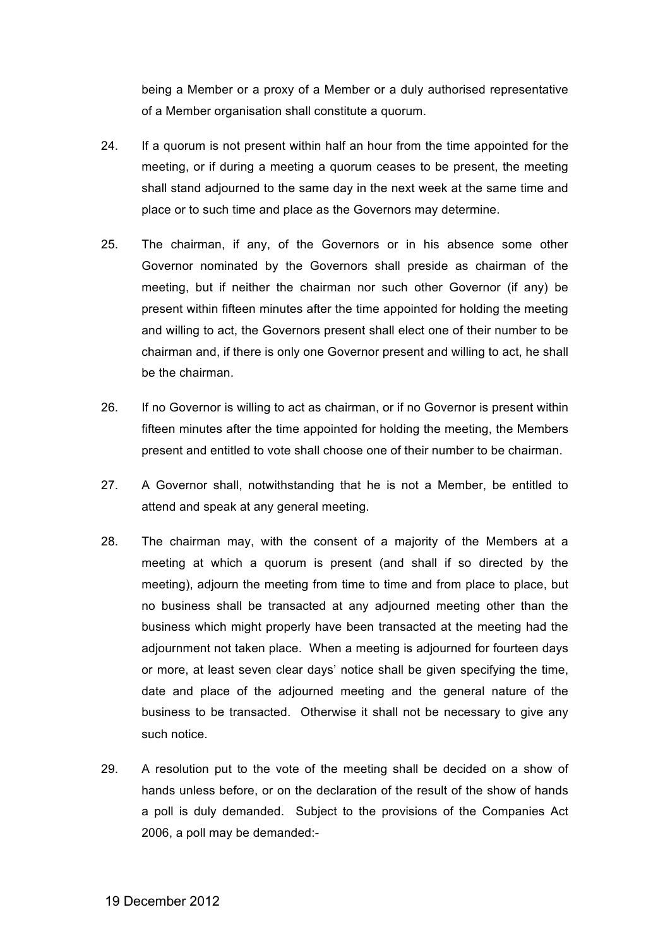being a Member or a proxy of a Member or a duly authorised representative of a Member organisation shall constitute a quorum.

- 24. If a quorum is not present within half an hour from the time appointed for the meeting, or if during a meeting a quorum ceases to be present, the meeting shall stand adjourned to the same day in the next week at the same time and place or to such time and place as the Governors may determine.
- 25. The chairman, if any, of the Governors or in his absence some other Governor nominated by the Governors shall preside as chairman of the meeting, but if neither the chairman nor such other Governor (if any) be present within fifteen minutes after the time appointed for holding the meeting and willing to act, the Governors present shall elect one of their number to be chairman and, if there is only one Governor present and willing to act, he shall be the chairman.
- 26. If no Governor is willing to act as chairman, or if no Governor is present within fifteen minutes after the time appointed for holding the meeting, the Members present and entitled to vote shall choose one of their number to be chairman.
- 27. A Governor shall, notwithstanding that he is not a Member, be entitled to attend and speak at any general meeting.
- 28. The chairman may, with the consent of a majority of the Members at a meeting at which a quorum is present (and shall if so directed by the meeting), adjourn the meeting from time to time and from place to place, but no business shall be transacted at any adjourned meeting other than the business which might properly have been transacted at the meeting had the adjournment not taken place. When a meeting is adjourned for fourteen days or more, at least seven clear days' notice shall be given specifying the time, date and place of the adjourned meeting and the general nature of the business to be transacted. Otherwise it shall not be necessary to give any such notice.
- 29. A resolution put to the vote of the meeting shall be decided on a show of hands unless before, or on the declaration of the result of the show of hands a poll is duly demanded. Subject to the provisions of the Companies Act 2006, a poll may be demanded:-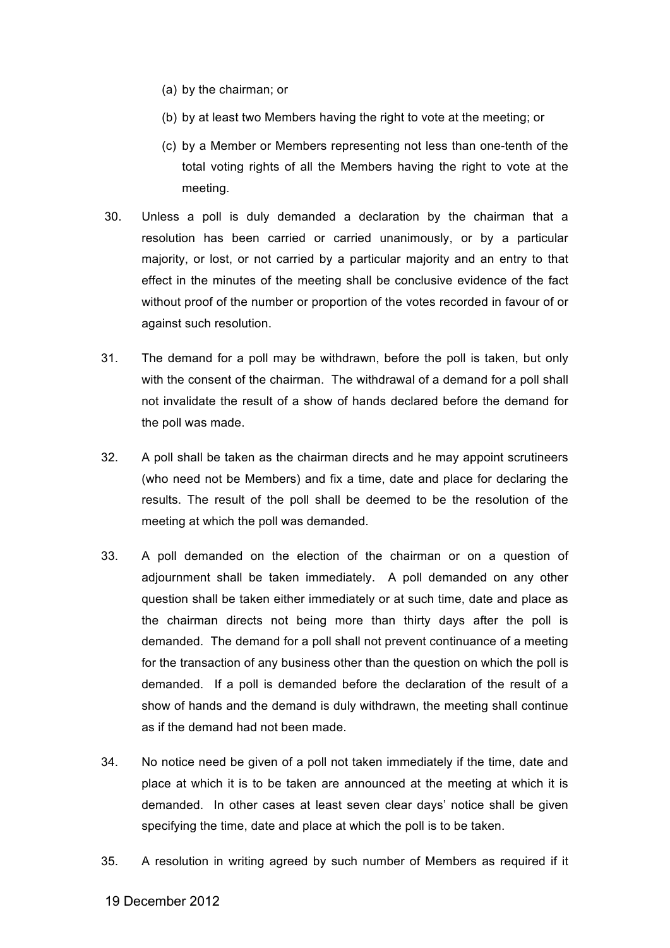- (a) by the chairman; or
- (b) by at least two Members having the right to vote at the meeting; or
- (c) by a Member or Members representing not less than one-tenth of the total voting rights of all the Members having the right to vote at the meeting.
- 30. Unless a poll is duly demanded a declaration by the chairman that a resolution has been carried or carried unanimously, or by a particular majority, or lost, or not carried by a particular majority and an entry to that effect in the minutes of the meeting shall be conclusive evidence of the fact without proof of the number or proportion of the votes recorded in favour of or against such resolution.
- 31. The demand for a poll may be withdrawn, before the poll is taken, but only with the consent of the chairman. The withdrawal of a demand for a poll shall not invalidate the result of a show of hands declared before the demand for the poll was made.
- 32. A poll shall be taken as the chairman directs and he may appoint scrutineers (who need not be Members) and fix a time, date and place for declaring the results. The result of the poll shall be deemed to be the resolution of the meeting at which the poll was demanded.
- 33. A poll demanded on the election of the chairman or on a question of adjournment shall be taken immediately. A poll demanded on any other question shall be taken either immediately or at such time, date and place as the chairman directs not being more than thirty days after the poll is demanded. The demand for a poll shall not prevent continuance of a meeting for the transaction of any business other than the question on which the poll is demanded. If a poll is demanded before the declaration of the result of a show of hands and the demand is duly withdrawn, the meeting shall continue as if the demand had not been made.
- 34. No notice need be given of a poll not taken immediately if the time, date and place at which it is to be taken are announced at the meeting at which it is demanded. In other cases at least seven clear days' notice shall be given specifying the time, date and place at which the poll is to be taken.
- 35. A resolution in writing agreed by such number of Members as required if it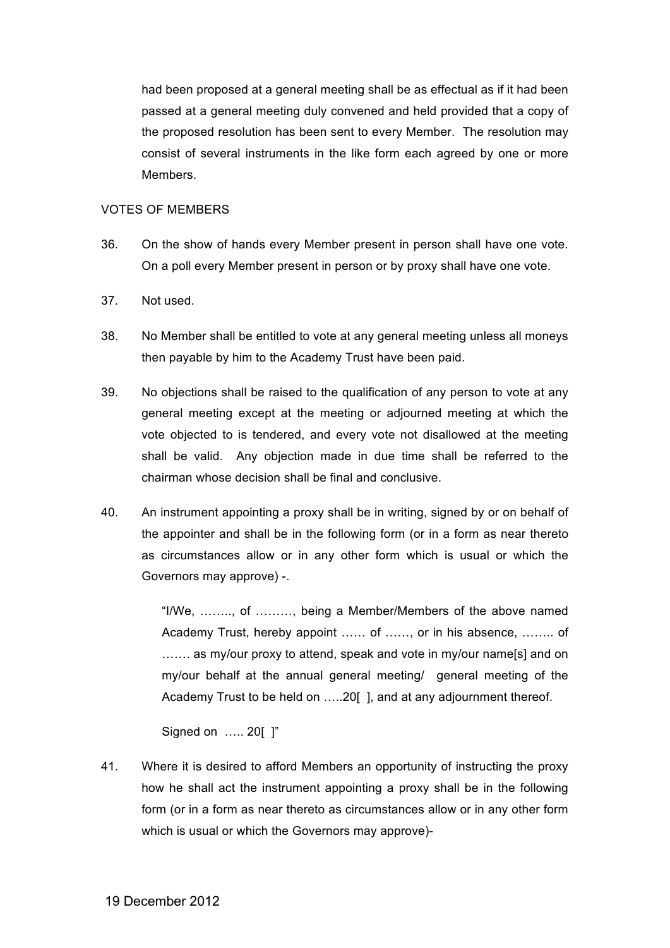had been proposed at a general meeting shall be as effectual as if it had been passed at a general meeting duly convened and held provided that a copy of the proposed resolution has been sent to every Member. The resolution may consist of several instruments in the like form each agreed by one or more Members.

## VOTES OF MEMBERS

- 36. On the show of hands every Member present in person shall have one vote. On a poll every Member present in person or by proxy shall have one vote.
- 37. Not used.
- 38. No Member shall be entitled to vote at any general meeting unless all moneys then payable by him to the Academy Trust have been paid.
- 39. No objections shall be raised to the qualification of any person to vote at any general meeting except at the meeting or adjourned meeting at which the vote objected to is tendered, and every vote not disallowed at the meeting shall be valid. Any objection made in due time shall be referred to the chairman whose decision shall be final and conclusive.
- 40. An instrument appointing a proxy shall be in writing, signed by or on behalf of the appointer and shall be in the following form (or in a form as near thereto as circumstances allow or in any other form which is usual or which the Governors may approve) -.

"I/We, …….., of ………, being a Member/Members of the above named Academy Trust, hereby appoint …… of ……, or in his absence, …….. of ....... as my/our proxy to attend, speak and vote in my/our name[s] and on my/our behalf at the annual general meeting/ general meeting of the Academy Trust to be held on …..20[ ], and at any adjournment thereof.

Signed on ….. 20[ ]"

41. Where it is desired to afford Members an opportunity of instructing the proxy how he shall act the instrument appointing a proxy shall be in the following form (or in a form as near thereto as circumstances allow or in any other form which is usual or which the Governors may approve)-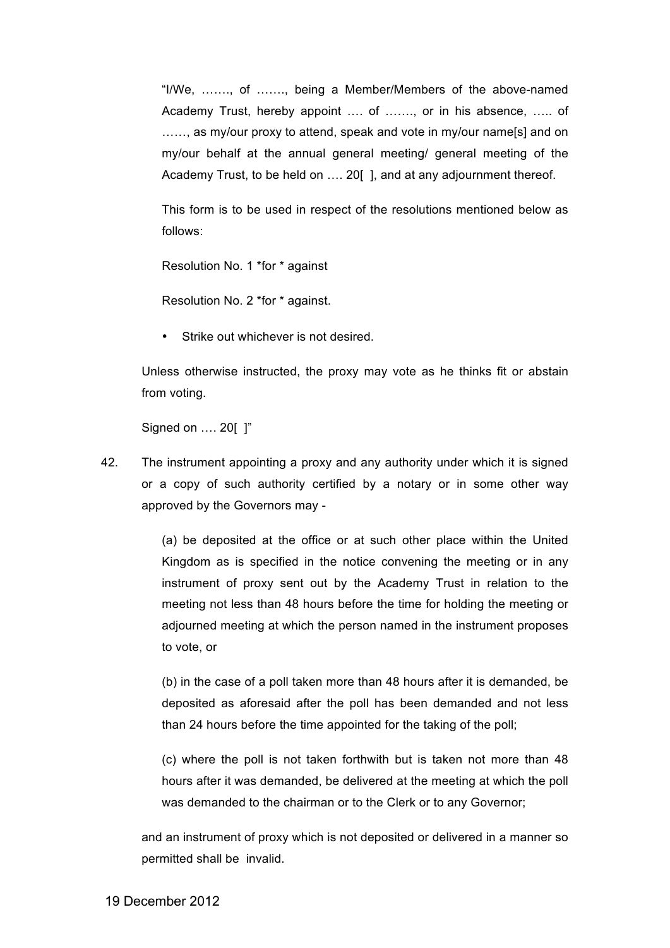"I/We, ……., of ……., being a Member/Members of the above-named Academy Trust, hereby appoint …. of ……., or in his absence, ….. of ......, as my/our proxy to attend, speak and vote in my/our name[s] and on my/our behalf at the annual general meeting/ general meeting of the Academy Trust, to be held on .... 20[], and at any adjournment thereof.

This form is to be used in respect of the resolutions mentioned below as follows:

Resolution No. 1 \*for \* against

Resolution No. 2 \*for \* against.

• Strike out whichever is not desired.

Unless otherwise instructed, the proxy may vote as he thinks fit or abstain from voting.

Signed on …. 20[ ]"

42. The instrument appointing a proxy and any authority under which it is signed or a copy of such authority certified by a notary or in some other way approved by the Governors may -

> (a) be deposited at the office or at such other place within the United Kingdom as is specified in the notice convening the meeting or in any instrument of proxy sent out by the Academy Trust in relation to the meeting not less than 48 hours before the time for holding the meeting or adjourned meeting at which the person named in the instrument proposes to vote, or

> (b) in the case of a poll taken more than 48 hours after it is demanded, be deposited as aforesaid after the poll has been demanded and not less than 24 hours before the time appointed for the taking of the poll;

> (c) where the poll is not taken forthwith but is taken not more than 48 hours after it was demanded, be delivered at the meeting at which the poll was demanded to the chairman or to the Clerk or to any Governor;

and an instrument of proxy which is not deposited or delivered in a manner so permitted shall be invalid.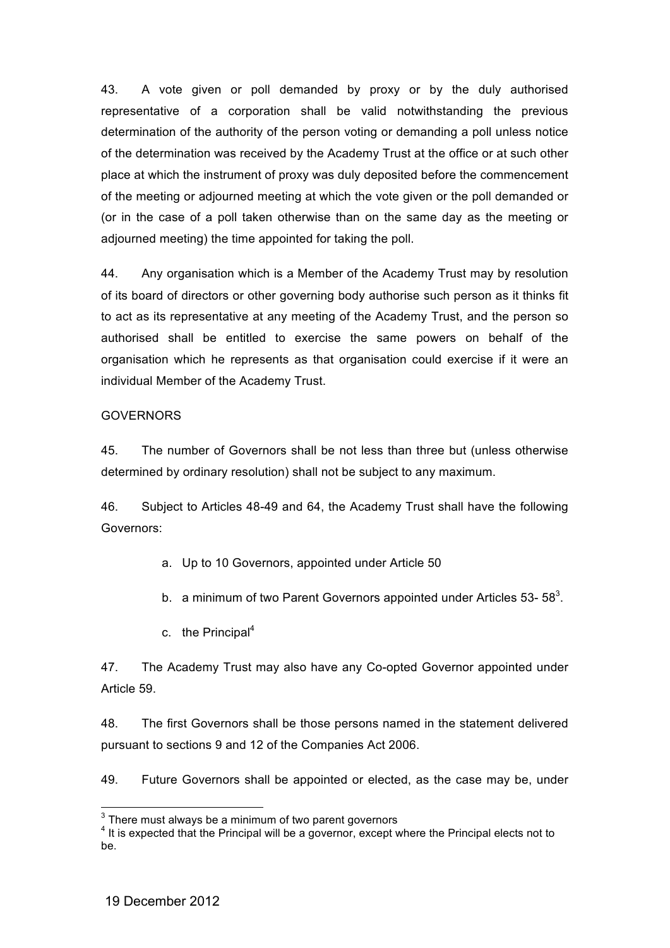43. A vote given or poll demanded by proxy or by the duly authorised representative of a corporation shall be valid notwithstanding the previous determination of the authority of the person voting or demanding a poll unless notice of the determination was received by the Academy Trust at the office or at such other place at which the instrument of proxy was duly deposited before the commencement of the meeting or adjourned meeting at which the vote given or the poll demanded or (or in the case of a poll taken otherwise than on the same day as the meeting or adjourned meeting) the time appointed for taking the poll.

44. Any organisation which is a Member of the Academy Trust may by resolution of its board of directors or other governing body authorise such person as it thinks fit to act as its representative at any meeting of the Academy Trust, and the person so authorised shall be entitled to exercise the same powers on behalf of the organisation which he represents as that organisation could exercise if it were an individual Member of the Academy Trust.

## GOVERNORS

45. The number of Governors shall be not less than three but (unless otherwise determined by ordinary resolution) shall not be subject to any maximum.

46. Subject to Articles 48-49 and 64, the Academy Trust shall have the following Governors:

- a. Up to 10 Governors, appointed under Article 50
- b. a minimum of two Parent Governors appointed under Articles 53- 58 $^3$ .
- c. the Principal $4$

47. The Academy Trust may also have any Co-opted Governor appointed under Article 59.

48. The first Governors shall be those persons named in the statement delivered pursuant to sections 9 and 12 of the Companies Act 2006.

49. Future Governors shall be appointed or elected, as the case may be, under

 $3$  There must always be a minimum of two parent governors

<sup>&</sup>lt;sup>4</sup> It is expected that the Principal will be a governor, except where the Principal elects not to be.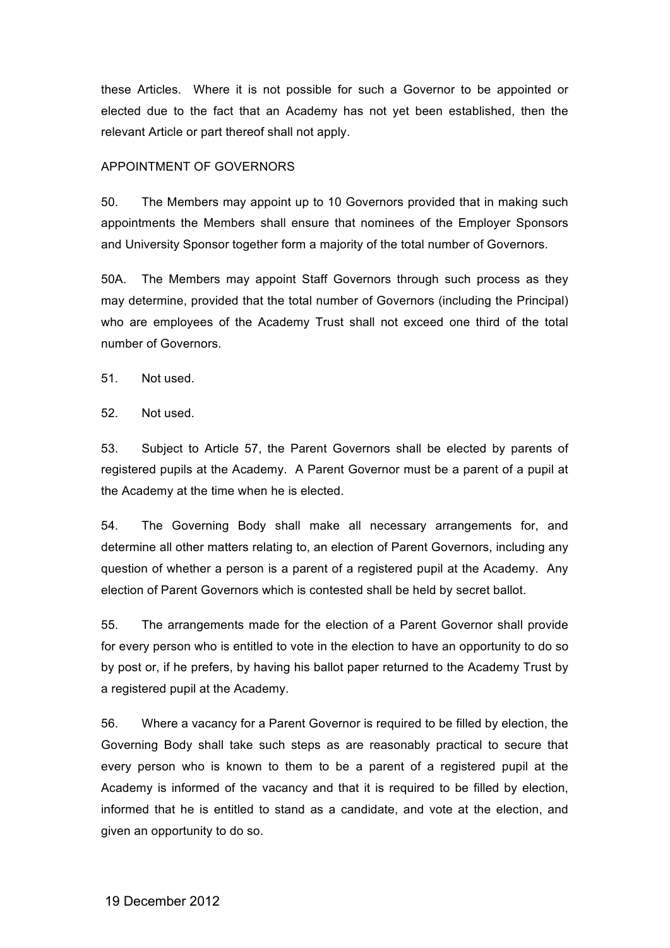these Articles. Where it is not possible for such a Governor to be appointed or elected due to the fact that an Academy has not yet been established, then the relevant Article or part thereof shall not apply.

## APPOINTMENT OF GOVERNORS

50. The Members may appoint up to 10 Governors provided that in making such appointments the Members shall ensure that nominees of the Employer Sponsors and University Sponsor together form a majority of the total number of Governors.

50A. The Members may appoint Staff Governors through such process as they may determine, provided that the total number of Governors (including the Principal) who are employees of the Academy Trust shall not exceed one third of the total number of Governors.

51. Not used.

52. Not used.

53. Subject to Article 57, the Parent Governors shall be elected by parents of registered pupils at the Academy. A Parent Governor must be a parent of a pupil at the Academy at the time when he is elected.

54. The Governing Body shall make all necessary arrangements for, and determine all other matters relating to, an election of Parent Governors, including any question of whether a person is a parent of a registered pupil at the Academy. Any election of Parent Governors which is contested shall be held by secret ballot.

55. The arrangements made for the election of a Parent Governor shall provide for every person who is entitled to vote in the election to have an opportunity to do so by post or, if he prefers, by having his ballot paper returned to the Academy Trust by a registered pupil at the Academy.

56. Where a vacancy for a Parent Governor is required to be filled by election, the Governing Body shall take such steps as are reasonably practical to secure that every person who is known to them to be a parent of a registered pupil at the Academy is informed of the vacancy and that it is required to be filled by election, informed that he is entitled to stand as a candidate, and vote at the election, and given an opportunity to do so.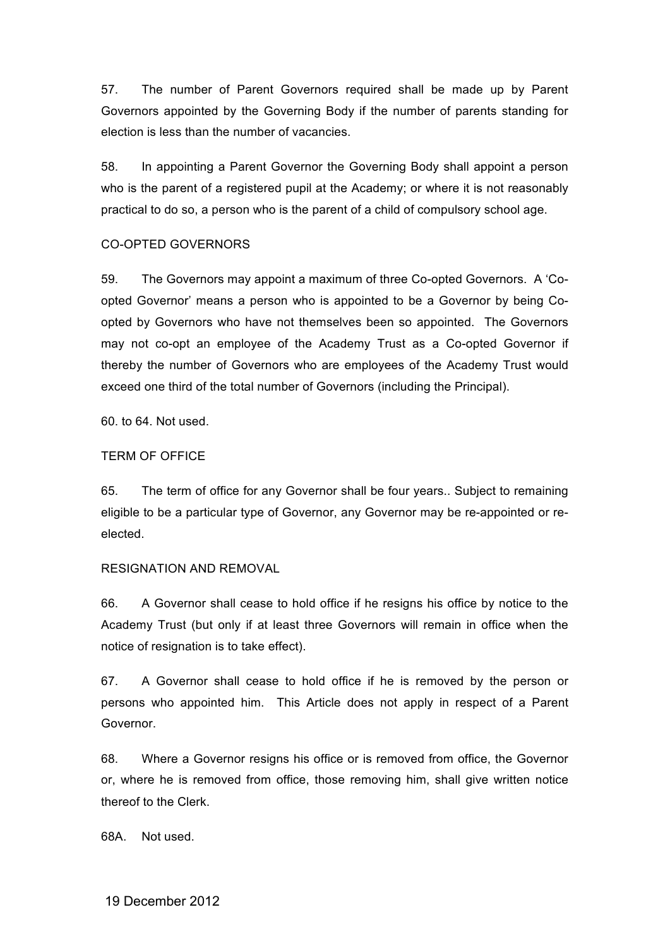57. The number of Parent Governors required shall be made up by Parent Governors appointed by the Governing Body if the number of parents standing for election is less than the number of vacancies.

58. In appointing a Parent Governor the Governing Body shall appoint a person who is the parent of a registered pupil at the Academy; or where it is not reasonably practical to do so, a person who is the parent of a child of compulsory school age.

## CO-OPTED GOVERNORS

59. The Governors may appoint a maximum of three Co-opted Governors. A 'Coopted Governor' means a person who is appointed to be a Governor by being Coopted by Governors who have not themselves been so appointed. The Governors may not co-opt an employee of the Academy Trust as a Co-opted Governor if thereby the number of Governors who are employees of the Academy Trust would exceed one third of the total number of Governors (including the Principal).

60. to 64. Not used.

## TERM OF OFFICE

65. The term of office for any Governor shall be four years.. Subject to remaining eligible to be a particular type of Governor, any Governor may be re-appointed or reelected.

## RESIGNATION AND REMOVAL

66. A Governor shall cease to hold office if he resigns his office by notice to the Academy Trust (but only if at least three Governors will remain in office when the notice of resignation is to take effect).

67. A Governor shall cease to hold office if he is removed by the person or persons who appointed him. This Article does not apply in respect of a Parent Governor.

68. Where a Governor resigns his office or is removed from office, the Governor or, where he is removed from office, those removing him, shall give written notice thereof to the Clerk.

68A. Not used.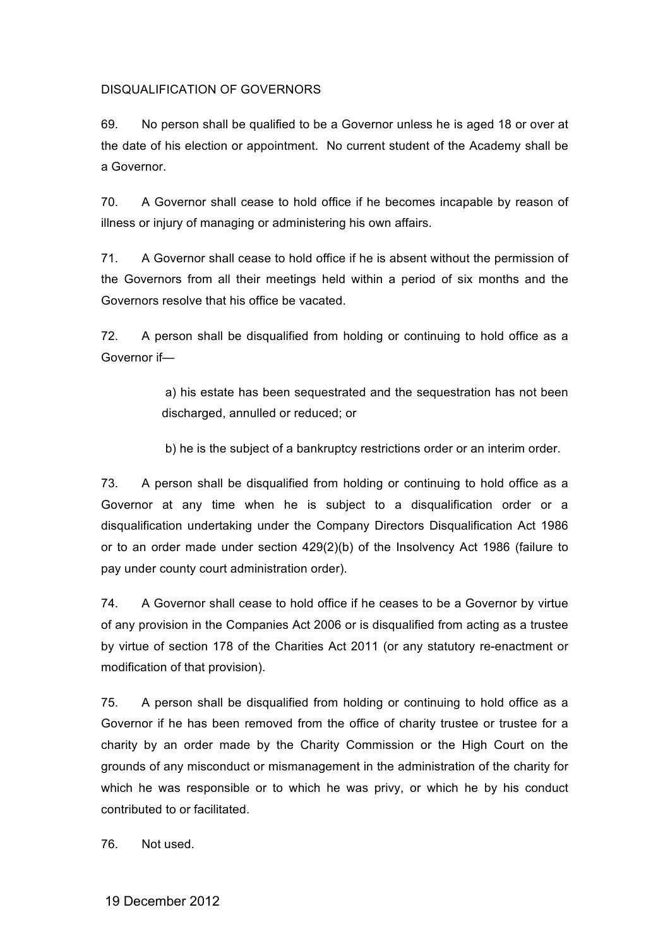## DISQUALIFICATION OF GOVERNORS

69. No person shall be qualified to be a Governor unless he is aged 18 or over at the date of his election or appointment. No current student of the Academy shall be a Governor.

70. A Governor shall cease to hold office if he becomes incapable by reason of illness or injury of managing or administering his own affairs.

71. A Governor shall cease to hold office if he is absent without the permission of the Governors from all their meetings held within a period of six months and the Governors resolve that his office be vacated.

72. A person shall be disqualified from holding or continuing to hold office as a Governor if—

> a) his estate has been sequestrated and the sequestration has not been discharged, annulled or reduced; or

b) he is the subject of a bankruptcy restrictions order or an interim order.

73. A person shall be disqualified from holding or continuing to hold office as a Governor at any time when he is subject to a disqualification order or a disqualification undertaking under the Company Directors Disqualification Act 1986 or to an order made under section 429(2)(b) of the Insolvency Act 1986 (failure to pay under county court administration order).

74. A Governor shall cease to hold office if he ceases to be a Governor by virtue of any provision in the Companies Act 2006 or is disqualified from acting as a trustee by virtue of section 178 of the Charities Act 2011 (or any statutory re-enactment or modification of that provision).

75. A person shall be disqualified from holding or continuing to hold office as a Governor if he has been removed from the office of charity trustee or trustee for a charity by an order made by the Charity Commission or the High Court on the grounds of any misconduct or mismanagement in the administration of the charity for which he was responsible or to which he was privy, or which he by his conduct contributed to or facilitated.

76. Not used.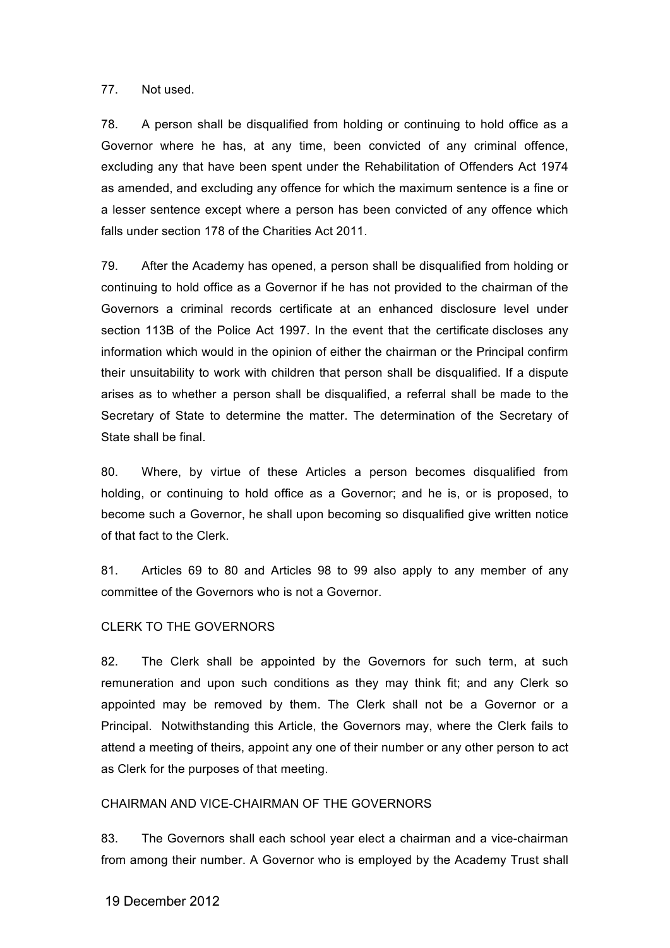#### 77. Not used.

78. A person shall be disqualified from holding or continuing to hold office as a Governor where he has, at any time, been convicted of any criminal offence, excluding any that have been spent under the Rehabilitation of Offenders Act 1974 as amended, and excluding any offence for which the maximum sentence is a fine or a lesser sentence except where a person has been convicted of any offence which falls under section 178 of the Charities Act 2011.

79. After the Academy has opened, a person shall be disqualified from holding or continuing to hold office as a Governor if he has not provided to the chairman of the Governors a criminal records certificate at an enhanced disclosure level under section 113B of the Police Act 1997. In the event that the certificate discloses any information which would in the opinion of either the chairman or the Principal confirm their unsuitability to work with children that person shall be disqualified. If a dispute arises as to whether a person shall be disqualified, a referral shall be made to the Secretary of State to determine the matter. The determination of the Secretary of State shall be final.

80. Where, by virtue of these Articles a person becomes disqualified from holding, or continuing to hold office as a Governor; and he is, or is proposed, to become such a Governor, he shall upon becoming so disqualified give written notice of that fact to the Clerk.

81. Articles 69 to 80 and Articles 98 to 99 also apply to any member of any committee of the Governors who is not a Governor.

#### CLERK TO THE GOVERNORS

82. The Clerk shall be appointed by the Governors for such term, at such remuneration and upon such conditions as they may think fit; and any Clerk so appointed may be removed by them. The Clerk shall not be a Governor or a Principal. Notwithstanding this Article, the Governors may, where the Clerk fails to attend a meeting of theirs, appoint any one of their number or any other person to act as Clerk for the purposes of that meeting.

## CHAIRMAN AND VICE-CHAIRMAN OF THE GOVERNORS

83. The Governors shall each school year elect a chairman and a vice-chairman from among their number. A Governor who is employed by the Academy Trust shall

## 19 December 2012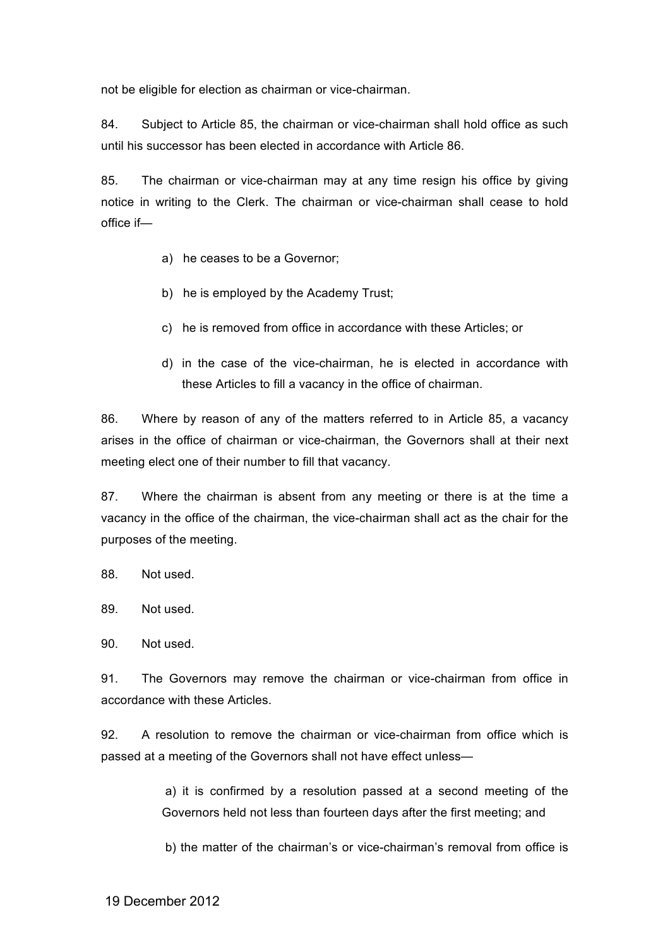not be eligible for election as chairman or vice-chairman.

84. Subject to Article 85, the chairman or vice-chairman shall hold office as such until his successor has been elected in accordance with Article 86.

85. The chairman or vice-chairman may at any time resign his office by giving notice in writing to the Clerk. The chairman or vice-chairman shall cease to hold office if—

- a) he ceases to be a Governor;
- b) he is employed by the Academy Trust;
- c) he is removed from office in accordance with these Articles; or
- d) in the case of the vice-chairman, he is elected in accordance with these Articles to fill a vacancy in the office of chairman.

86. Where by reason of any of the matters referred to in Article 85, a vacancy arises in the office of chairman or vice-chairman, the Governors shall at their next meeting elect one of their number to fill that vacancy.

87. Where the chairman is absent from any meeting or there is at the time a vacancy in the office of the chairman, the vice-chairman shall act as the chair for the purposes of the meeting.

88. Not used.

89. Not used.

90. Not used.

91. The Governors may remove the chairman or vice-chairman from office in accordance with these Articles.

92. A resolution to remove the chairman or vice-chairman from office which is passed at a meeting of the Governors shall not have effect unless—

> a) it is confirmed by a resolution passed at a second meeting of the Governors held not less than fourteen days after the first meeting; and

> b) the matter of the chairman's or vice-chairman's removal from office is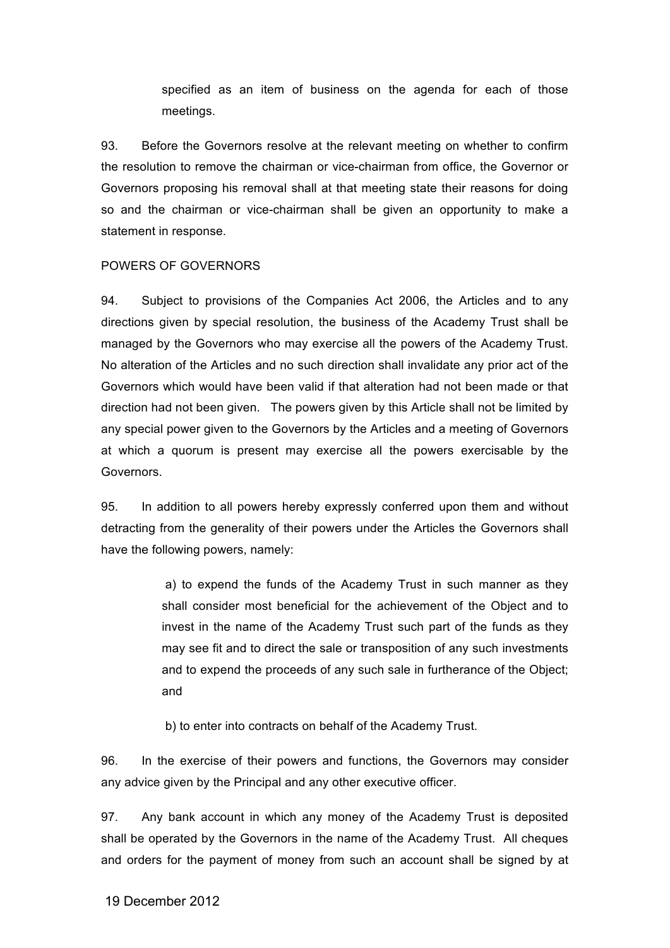specified as an item of business on the agenda for each of those meetings.

93. Before the Governors resolve at the relevant meeting on whether to confirm the resolution to remove the chairman or vice-chairman from office, the Governor or Governors proposing his removal shall at that meeting state their reasons for doing so and the chairman or vice-chairman shall be given an opportunity to make a statement in response.

#### POWERS OF GOVERNORS

94. Subject to provisions of the Companies Act 2006, the Articles and to any directions given by special resolution, the business of the Academy Trust shall be managed by the Governors who may exercise all the powers of the Academy Trust. No alteration of the Articles and no such direction shall invalidate any prior act of the Governors which would have been valid if that alteration had not been made or that direction had not been given. The powers given by this Article shall not be limited by any special power given to the Governors by the Articles and a meeting of Governors at which a quorum is present may exercise all the powers exercisable by the Governors.

95. In addition to all powers hereby expressly conferred upon them and without detracting from the generality of their powers under the Articles the Governors shall have the following powers, namely:

> a) to expend the funds of the Academy Trust in such manner as they shall consider most beneficial for the achievement of the Object and to invest in the name of the Academy Trust such part of the funds as they may see fit and to direct the sale or transposition of any such investments and to expend the proceeds of any such sale in furtherance of the Object; and

b) to enter into contracts on behalf of the Academy Trust.

96. In the exercise of their powers and functions, the Governors may consider any advice given by the Principal and any other executive officer.

97. Any bank account in which any money of the Academy Trust is deposited shall be operated by the Governors in the name of the Academy Trust. All cheques and orders for the payment of money from such an account shall be signed by at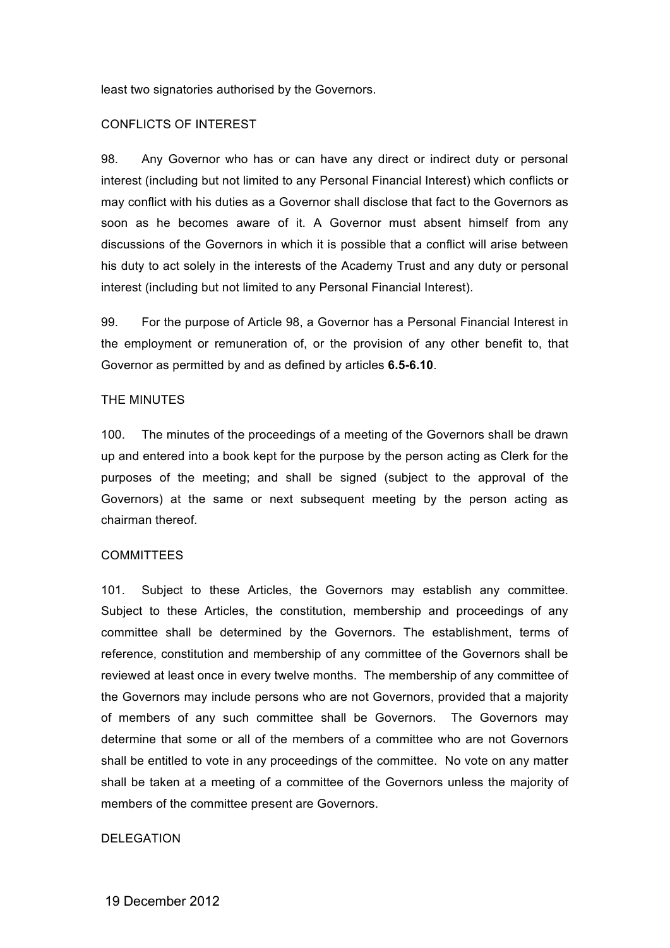least two signatories authorised by the Governors.

### CONFLICTS OF INTEREST

98. Any Governor who has or can have any direct or indirect duty or personal interest (including but not limited to any Personal Financial Interest) which conflicts or may conflict with his duties as a Governor shall disclose that fact to the Governors as soon as he becomes aware of it. A Governor must absent himself from any discussions of the Governors in which it is possible that a conflict will arise between his duty to act solely in the interests of the Academy Trust and any duty or personal interest (including but not limited to any Personal Financial Interest).

99. For the purpose of Article 98, a Governor has a Personal Financial Interest in the employment or remuneration of, or the provision of any other benefit to, that Governor as permitted by and as defined by articles **6.5-6.10**.

#### THE MINUTES

100. The minutes of the proceedings of a meeting of the Governors shall be drawn up and entered into a book kept for the purpose by the person acting as Clerk for the purposes of the meeting; and shall be signed (subject to the approval of the Governors) at the same or next subsequent meeting by the person acting as chairman thereof.

#### **COMMITTEES**

101. Subject to these Articles, the Governors may establish any committee. Subject to these Articles, the constitution, membership and proceedings of any committee shall be determined by the Governors. The establishment, terms of reference, constitution and membership of any committee of the Governors shall be reviewed at least once in every twelve months. The membership of any committee of the Governors may include persons who are not Governors, provided that a majority of members of any such committee shall be Governors. The Governors may determine that some or all of the members of a committee who are not Governors shall be entitled to vote in any proceedings of the committee. No vote on any matter shall be taken at a meeting of a committee of the Governors unless the majority of members of the committee present are Governors.

#### DELEGATION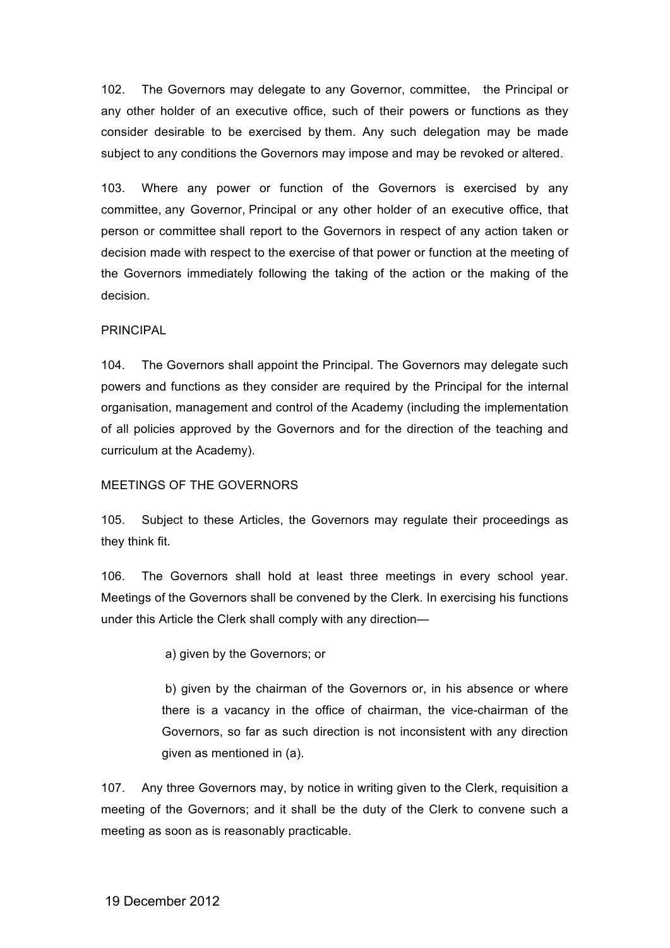102. The Governors may delegate to any Governor, committee, the Principal or any other holder of an executive office, such of their powers or functions as they consider desirable to be exercised by them. Any such delegation may be made subject to any conditions the Governors may impose and may be revoked or altered.

103. Where any power or function of the Governors is exercised by any committee, any Governor, Principal or any other holder of an executive office, that person or committee shall report to the Governors in respect of any action taken or decision made with respect to the exercise of that power or function at the meeting of the Governors immediately following the taking of the action or the making of the decision.

#### PRINCIPAL

104. The Governors shall appoint the Principal. The Governors may delegate such powers and functions as they consider are required by the Principal for the internal organisation, management and control of the Academy (including the implementation of all policies approved by the Governors and for the direction of the teaching and curriculum at the Academy).

#### MEETINGS OF THE GOVERNORS

105. Subject to these Articles, the Governors may regulate their proceedings as they think fit.

106. The Governors shall hold at least three meetings in every school year. Meetings of the Governors shall be convened by the Clerk. In exercising his functions under this Article the Clerk shall comply with any direction—

a) given by the Governors; or

b) given by the chairman of the Governors or, in his absence or where there is a vacancy in the office of chairman, the vice-chairman of the Governors, so far as such direction is not inconsistent with any direction given as mentioned in (a).

107. Any three Governors may, by notice in writing given to the Clerk, requisition a meeting of the Governors; and it shall be the duty of the Clerk to convene such a meeting as soon as is reasonably practicable.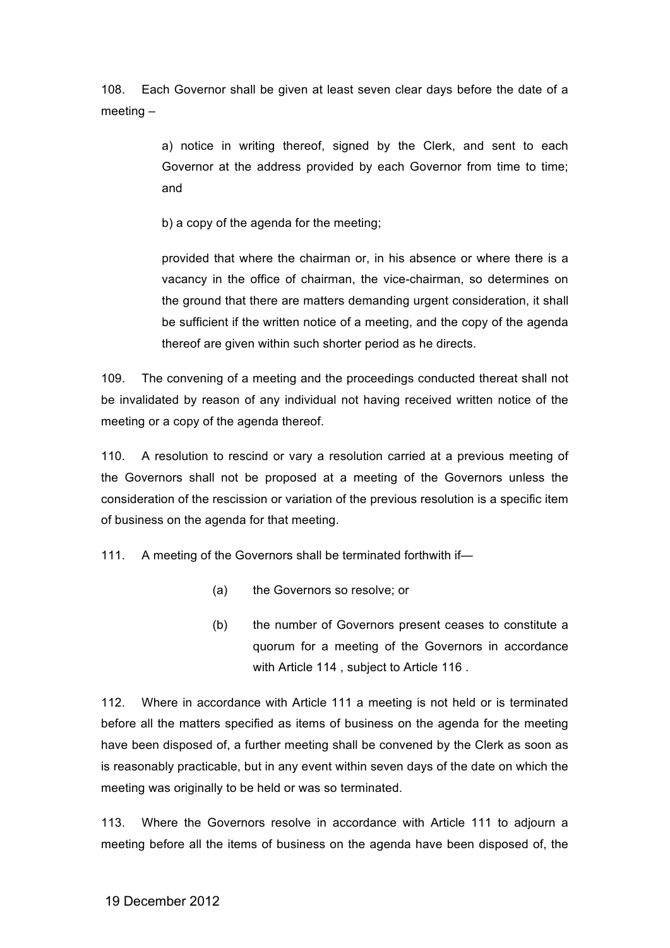108. Each Governor shall be given at least seven clear days before the date of a meeting –

> a) notice in writing thereof, signed by the Clerk, and sent to each Governor at the address provided by each Governor from time to time; and

b) a copy of the agenda for the meeting;

provided that where the chairman or, in his absence or where there is a vacancy in the office of chairman, the vice-chairman, so determines on the ground that there are matters demanding urgent consideration, it shall be sufficient if the written notice of a meeting, and the copy of the agenda thereof are given within such shorter period as he directs.

109. The convening of a meeting and the proceedings conducted thereat shall not be invalidated by reason of any individual not having received written notice of the meeting or a copy of the agenda thereof.

110. A resolution to rescind or vary a resolution carried at a previous meeting of the Governors shall not be proposed at a meeting of the Governors unless the consideration of the rescission or variation of the previous resolution is a specific item of business on the agenda for that meeting.

111. A meeting of the Governors shall be terminated forthwith if—

- (a) the Governors so resolve; or
- (b) the number of Governors present ceases to constitute a quorum for a meeting of the Governors in accordance with Article 114 , subject to Article 116 .

112. Where in accordance with Article 111 a meeting is not held or is terminated before all the matters specified as items of business on the agenda for the meeting have been disposed of, a further meeting shall be convened by the Clerk as soon as is reasonably practicable, but in any event within seven days of the date on which the meeting was originally to be held or was so terminated.

113. Where the Governors resolve in accordance with Article 111 to adjourn a meeting before all the items of business on the agenda have been disposed of, the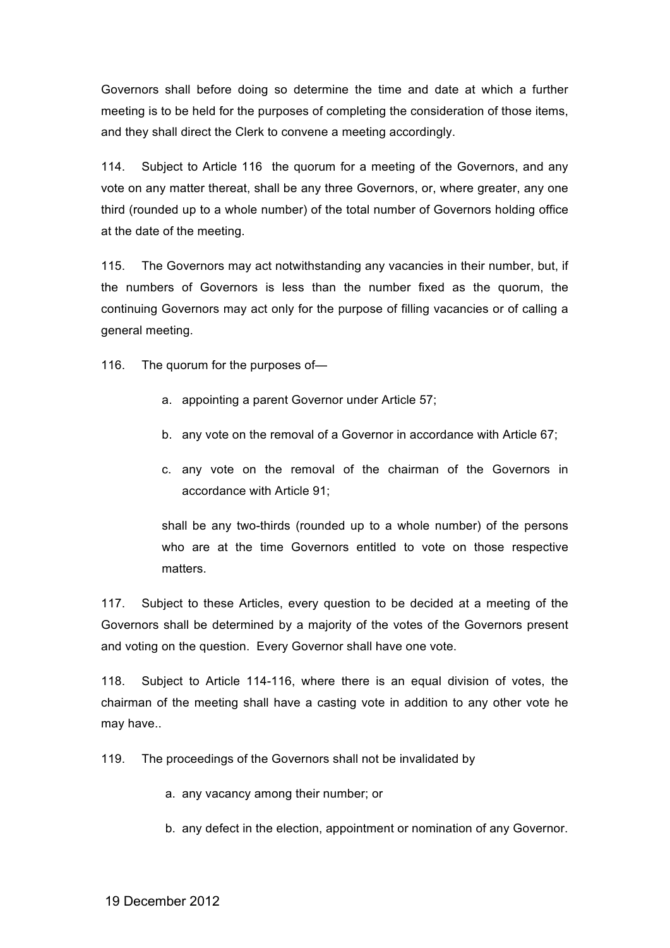Governors shall before doing so determine the time and date at which a further meeting is to be held for the purposes of completing the consideration of those items, and they shall direct the Clerk to convene a meeting accordingly.

114. Subject to Article 116 the quorum for a meeting of the Governors, and any vote on any matter thereat, shall be any three Governors, or, where greater, any one third (rounded up to a whole number) of the total number of Governors holding office at the date of the meeting.

115. The Governors may act notwithstanding any vacancies in their number, but, if the numbers of Governors is less than the number fixed as the quorum, the continuing Governors may act only for the purpose of filling vacancies or of calling a general meeting.

116. The quorum for the purposes of—

- a. appointing a parent Governor under Article 57;
- b. any vote on the removal of a Governor in accordance with Article 67;
- c. any vote on the removal of the chairman of the Governors in accordance with Article 91;

shall be any two-thirds (rounded up to a whole number) of the persons who are at the time Governors entitled to vote on those respective matters.

117. Subject to these Articles, every question to be decided at a meeting of the Governors shall be determined by a majority of the votes of the Governors present and voting on the question. Every Governor shall have one vote.

118. Subject to Article 114-116, where there is an equal division of votes, the chairman of the meeting shall have a casting vote in addition to any other vote he may have..

119. The proceedings of the Governors shall not be invalidated by

a. any vacancy among their number; or

b. any defect in the election, appointment or nomination of any Governor.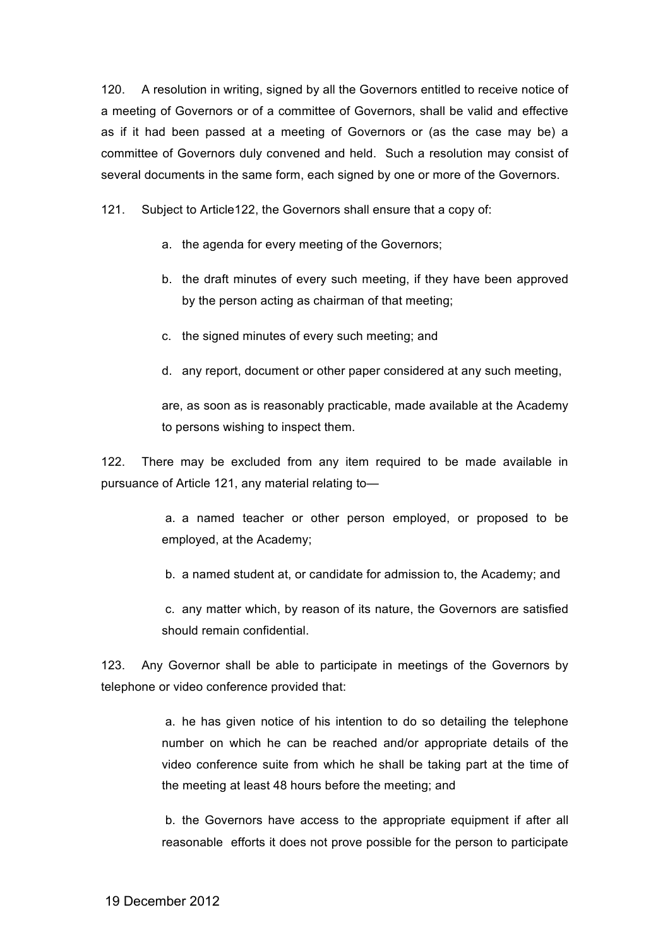120. A resolution in writing, signed by all the Governors entitled to receive notice of a meeting of Governors or of a committee of Governors, shall be valid and effective as if it had been passed at a meeting of Governors or (as the case may be) a committee of Governors duly convened and held. Such a resolution may consist of several documents in the same form, each signed by one or more of the Governors.

121. Subject to Article122, the Governors shall ensure that a copy of:

- a. the agenda for every meeting of the Governors;
- b. the draft minutes of every such meeting, if they have been approved by the person acting as chairman of that meeting;
- c. the signed minutes of every such meeting; and
- d. any report, document or other paper considered at any such meeting,

are, as soon as is reasonably practicable, made available at the Academy to persons wishing to inspect them.

122. There may be excluded from any item required to be made available in pursuance of Article 121, any material relating to—

> a. a named teacher or other person employed, or proposed to be employed, at the Academy;

b. a named student at, or candidate for admission to, the Academy; and

c. any matter which, by reason of its nature, the Governors are satisfied should remain confidential.

123. Any Governor shall be able to participate in meetings of the Governors by telephone or video conference provided that:

> a. he has given notice of his intention to do so detailing the telephone number on which he can be reached and/or appropriate details of the video conference suite from which he shall be taking part at the time of the meeting at least 48 hours before the meeting; and

> b. the Governors have access to the appropriate equipment if after all reasonable efforts it does not prove possible for the person to participate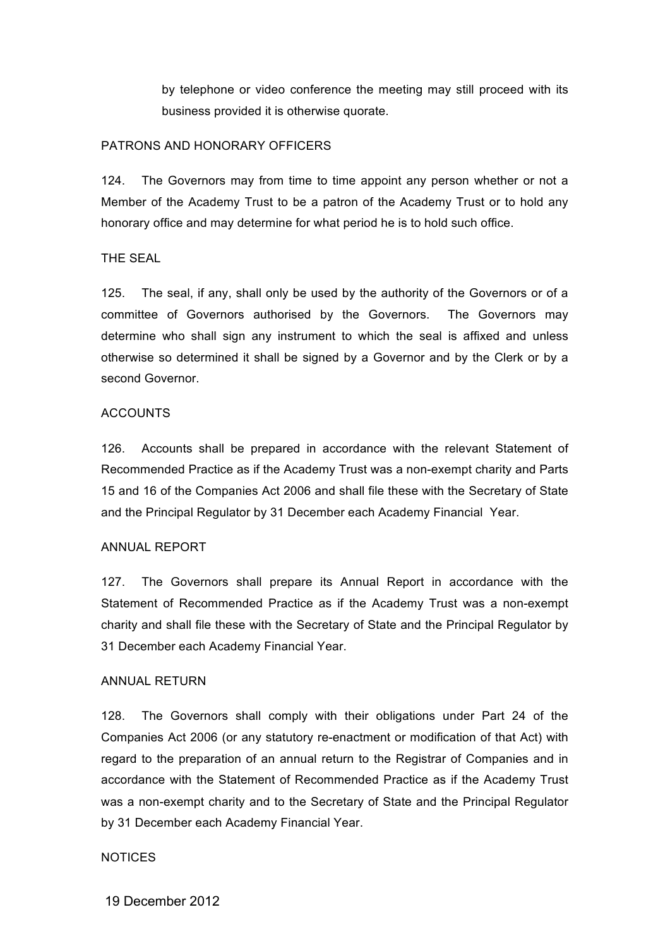by telephone or video conference the meeting may still proceed with its business provided it is otherwise quorate.

#### PATRONS AND HONORARY OFFICERS

124. The Governors may from time to time appoint any person whether or not a Member of the Academy Trust to be a patron of the Academy Trust or to hold any honorary office and may determine for what period he is to hold such office.

## THE SEAL

125. The seal, if any, shall only be used by the authority of the Governors or of a committee of Governors authorised by the Governors. The Governors may determine who shall sign any instrument to which the seal is affixed and unless otherwise so determined it shall be signed by a Governor and by the Clerk or by a second Governor.

#### **ACCOUNTS**

126. Accounts shall be prepared in accordance with the relevant Statement of Recommended Practice as if the Academy Trust was a non-exempt charity and Parts 15 and 16 of the Companies Act 2006 and shall file these with the Secretary of State and the Principal Regulator by 31 December each Academy Financial Year.

#### ANNUAL REPORT

127. The Governors shall prepare its Annual Report in accordance with the Statement of Recommended Practice as if the Academy Trust was a non-exempt charity and shall file these with the Secretary of State and the Principal Regulator by 31 December each Academy Financial Year.

#### ANNUAL RETURN

128. The Governors shall comply with their obligations under Part 24 of the Companies Act 2006 (or any statutory re-enactment or modification of that Act) with regard to the preparation of an annual return to the Registrar of Companies and in accordance with the Statement of Recommended Practice as if the Academy Trust was a non-exempt charity and to the Secretary of State and the Principal Regulator by 31 December each Academy Financial Year.

## **NOTICES**

19 December 2012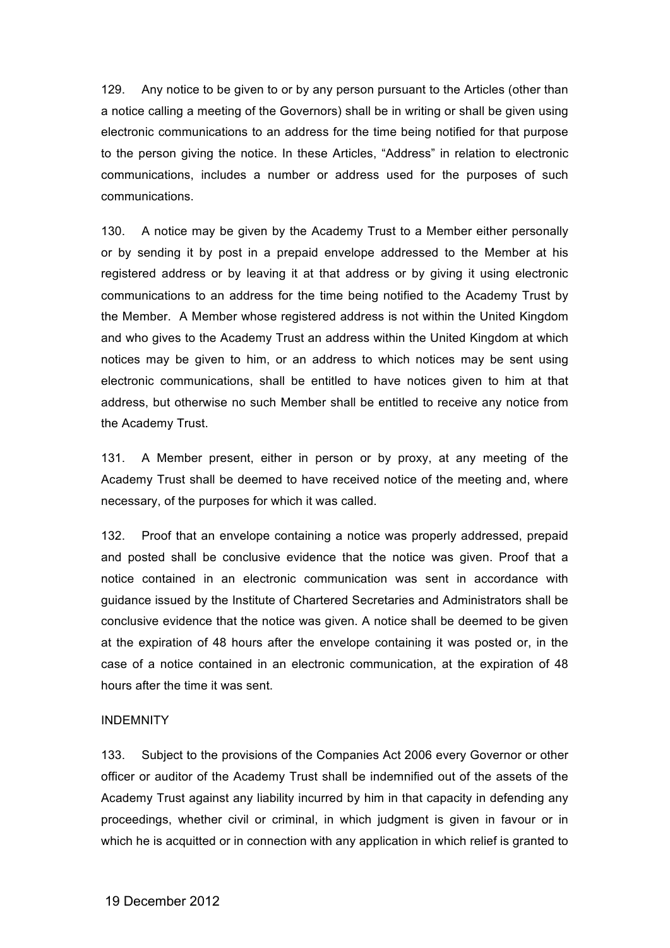129. Any notice to be given to or by any person pursuant to the Articles (other than a notice calling a meeting of the Governors) shall be in writing or shall be given using electronic communications to an address for the time being notified for that purpose to the person giving the notice. In these Articles, "Address" in relation to electronic communications, includes a number or address used for the purposes of such communications.

130. A notice may be given by the Academy Trust to a Member either personally or by sending it by post in a prepaid envelope addressed to the Member at his registered address or by leaving it at that address or by giving it using electronic communications to an address for the time being notified to the Academy Trust by the Member. A Member whose registered address is not within the United Kingdom and who gives to the Academy Trust an address within the United Kingdom at which notices may be given to him, or an address to which notices may be sent using electronic communications, shall be entitled to have notices given to him at that address, but otherwise no such Member shall be entitled to receive any notice from the Academy Trust.

131. A Member present, either in person or by proxy, at any meeting of the Academy Trust shall be deemed to have received notice of the meeting and, where necessary, of the purposes for which it was called.

132. Proof that an envelope containing a notice was properly addressed, prepaid and posted shall be conclusive evidence that the notice was given. Proof that a notice contained in an electronic communication was sent in accordance with guidance issued by the Institute of Chartered Secretaries and Administrators shall be conclusive evidence that the notice was given. A notice shall be deemed to be given at the expiration of 48 hours after the envelope containing it was posted or, in the case of a notice contained in an electronic communication, at the expiration of 48 hours after the time it was sent.

## INDEMNITY

133. Subject to the provisions of the Companies Act 2006 every Governor or other officer or auditor of the Academy Trust shall be indemnified out of the assets of the Academy Trust against any liability incurred by him in that capacity in defending any proceedings, whether civil or criminal, in which judgment is given in favour or in which he is acquitted or in connection with any application in which relief is granted to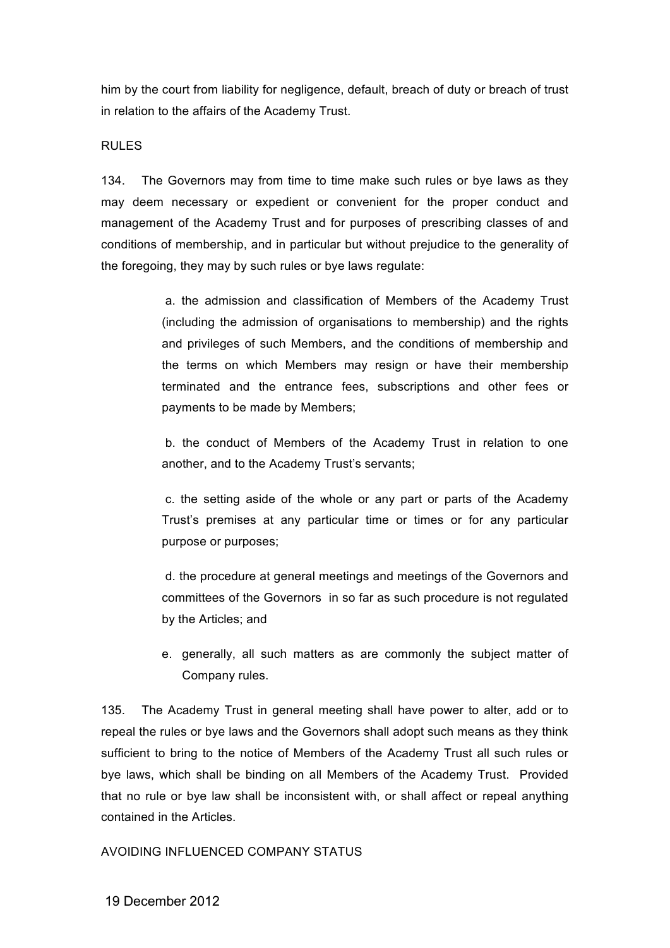him by the court from liability for negligence, default, breach of duty or breach of trust in relation to the affairs of the Academy Trust.

## RULES

134. The Governors may from time to time make such rules or bye laws as they may deem necessary or expedient or convenient for the proper conduct and management of the Academy Trust and for purposes of prescribing classes of and conditions of membership, and in particular but without prejudice to the generality of the foregoing, they may by such rules or bye laws regulate:

> a. the admission and classification of Members of the Academy Trust (including the admission of organisations to membership) and the rights and privileges of such Members, and the conditions of membership and the terms on which Members may resign or have their membership terminated and the entrance fees, subscriptions and other fees or payments to be made by Members;

> b. the conduct of Members of the Academy Trust in relation to one another, and to the Academy Trust's servants;

> c. the setting aside of the whole or any part or parts of the Academy Trust's premises at any particular time or times or for any particular purpose or purposes;

> d. the procedure at general meetings and meetings of the Governors and committees of the Governors in so far as such procedure is not regulated by the Articles; and

> e. generally, all such matters as are commonly the subject matter of Company rules.

135. The Academy Trust in general meeting shall have power to alter, add or to repeal the rules or bye laws and the Governors shall adopt such means as they think sufficient to bring to the notice of Members of the Academy Trust all such rules or bye laws, which shall be binding on all Members of the Academy Trust. Provided that no rule or bye law shall be inconsistent with, or shall affect or repeal anything contained in the Articles.

AVOIDING INFLUENCED COMPANY STATUS

19 December 2012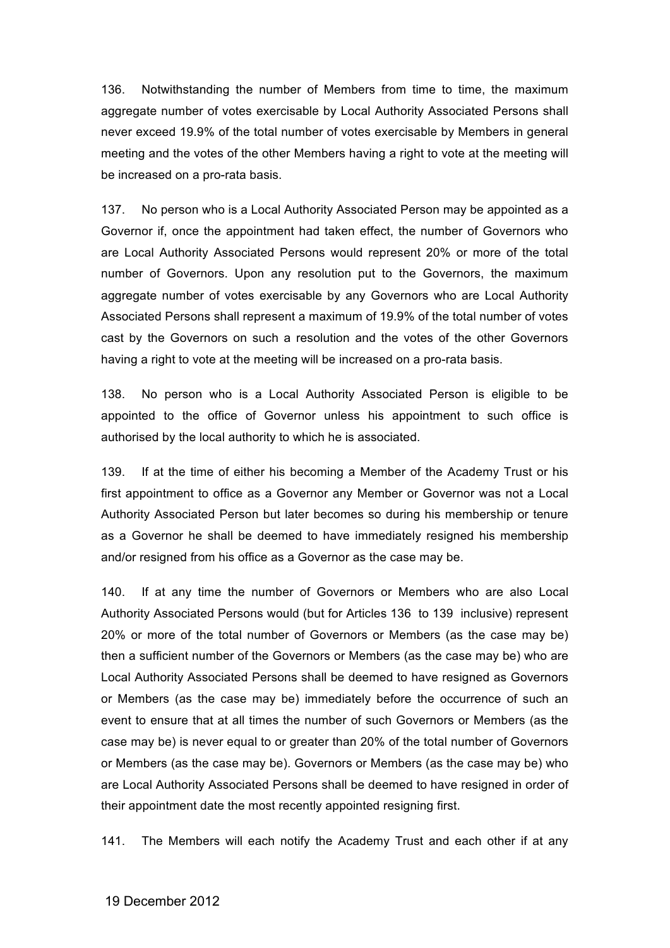136. Notwithstanding the number of Members from time to time, the maximum aggregate number of votes exercisable by Local Authority Associated Persons shall never exceed 19.9% of the total number of votes exercisable by Members in general meeting and the votes of the other Members having a right to vote at the meeting will be increased on a pro-rata basis.

137. No person who is a Local Authority Associated Person may be appointed as a Governor if, once the appointment had taken effect, the number of Governors who are Local Authority Associated Persons would represent 20% or more of the total number of Governors. Upon any resolution put to the Governors, the maximum aggregate number of votes exercisable by any Governors who are Local Authority Associated Persons shall represent a maximum of 19.9% of the total number of votes cast by the Governors on such a resolution and the votes of the other Governors having a right to vote at the meeting will be increased on a pro-rata basis.

138. No person who is a Local Authority Associated Person is eligible to be appointed to the office of Governor unless his appointment to such office is authorised by the local authority to which he is associated.

139. If at the time of either his becoming a Member of the Academy Trust or his first appointment to office as a Governor any Member or Governor was not a Local Authority Associated Person but later becomes so during his membership or tenure as a Governor he shall be deemed to have immediately resigned his membership and/or resigned from his office as a Governor as the case may be.

140. If at any time the number of Governors or Members who are also Local Authority Associated Persons would (but for Articles 136 to 139 inclusive) represent 20% or more of the total number of Governors or Members (as the case may be) then a sufficient number of the Governors or Members (as the case may be) who are Local Authority Associated Persons shall be deemed to have resigned as Governors or Members (as the case may be) immediately before the occurrence of such an event to ensure that at all times the number of such Governors or Members (as the case may be) is never equal to or greater than 20% of the total number of Governors or Members (as the case may be). Governors or Members (as the case may be) who are Local Authority Associated Persons shall be deemed to have resigned in order of their appointment date the most recently appointed resigning first.

141. The Members will each notify the Academy Trust and each other if at any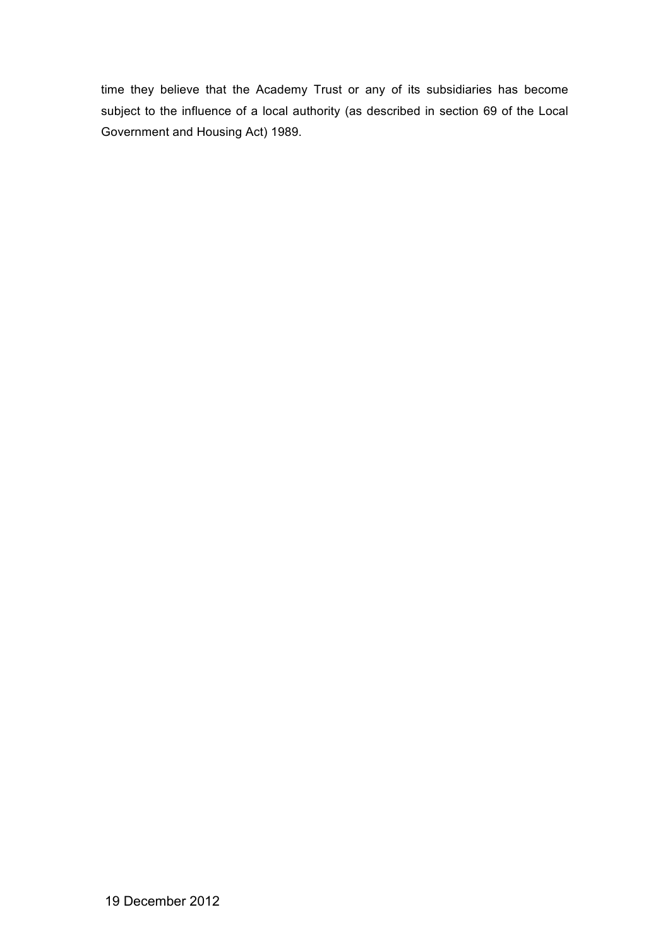time they believe that the Academy Trust or any of its subsidiaries has become subject to the influence of a local authority (as described in section 69 of the Local Government and Housing Act) 1989.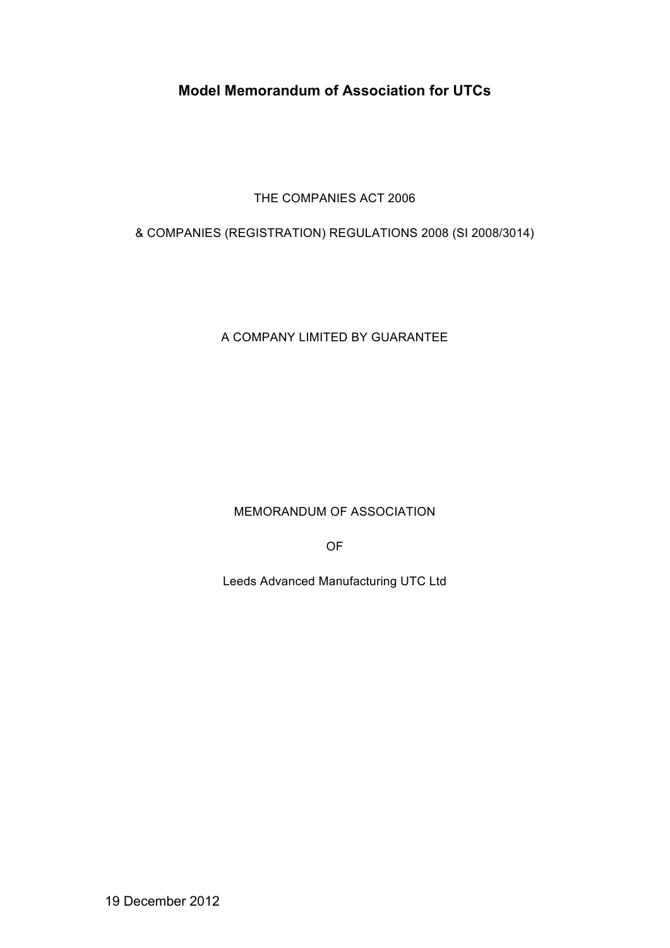# **Model Memorandum of Association for UTCs**

THE COMPANIES ACT 2006

& COMPANIES (REGISTRATION) REGULATIONS 2008 (SI 2008/3014)

A COMPANY LIMITED BY GUARANTEE

MEMORANDUM OF ASSOCIATION

OF

Leeds Advanced Manufacturing UTC Ltd